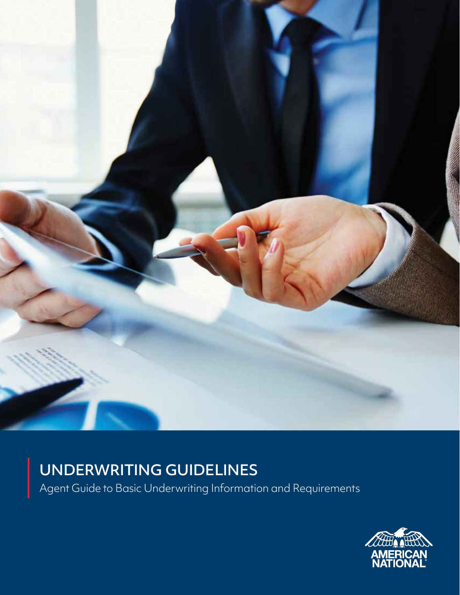

### UNDERWRITING GUIDELINES

Agent Guide to Basic Underwriting Information and Requirements

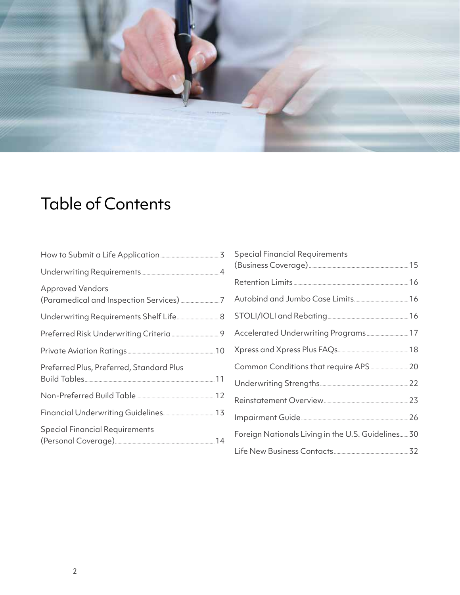

# Table of Contents

| <b>Approved Vendors</b>                  |  |
|------------------------------------------|--|
|                                          |  |
|                                          |  |
|                                          |  |
| Preferred Plus, Preferred, Standard Plus |  |
|                                          |  |
|                                          |  |
| <b>Special Financial Requirements</b>    |  |

| Special Financial Requirements                     |  |
|----------------------------------------------------|--|
|                                                    |  |
|                                                    |  |
|                                                    |  |
|                                                    |  |
|                                                    |  |
|                                                    |  |
|                                                    |  |
|                                                    |  |
|                                                    |  |
| Foreign Nationals Living in the U.S. Guidelines 30 |  |
|                                                    |  |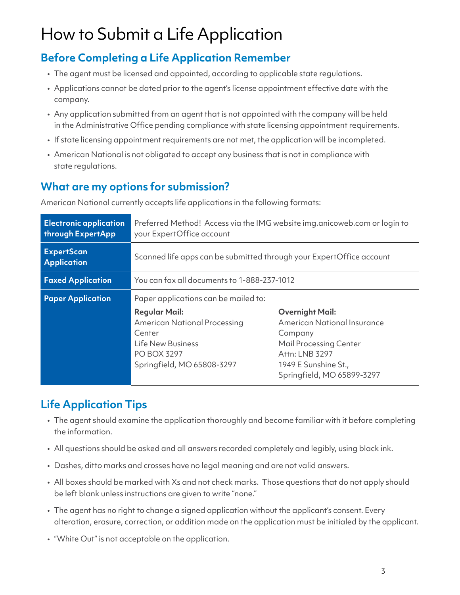# How to Submit a Life Application

### **Before Completing a Life Application Remember**

- The agent must be licensed and appointed, according to applicable state regulations.
- Applications cannot be dated prior to the agent's license appointment effective date with the company.
- Any application submitted from an agent that is not appointed with the company will be held in the Administrative Office pending compliance with state licensing appointment requirements.
- If state licensing appointment requirements are not met, the application will be incompleted.
- American National is not obligated to accept any business that is not in compliance with state regulations.

### **What are my options for submission?**

American National currently accepts life applications in the following formats:

| <b>Electronic application</b><br>through ExpertApp | Preferred Method! Access via the IMG website img.anicoweb.com or login to<br>your ExpertOffice account                                                                                        |                                                                                                                                                                                  |  |  |  |  |  |  |  |  |
|----------------------------------------------------|-----------------------------------------------------------------------------------------------------------------------------------------------------------------------------------------------|----------------------------------------------------------------------------------------------------------------------------------------------------------------------------------|--|--|--|--|--|--|--|--|
| <b>ExpertScan</b><br><b>Application</b>            | Scanned life apps can be submitted through your ExpertOffice account                                                                                                                          |                                                                                                                                                                                  |  |  |  |  |  |  |  |  |
| <b>Faxed Application</b>                           | You can fax all documents to 1-888-237-1012                                                                                                                                                   |                                                                                                                                                                                  |  |  |  |  |  |  |  |  |
| <b>Paper Application</b>                           | Paper applications can be mailed to:<br><b>Regular Mail:</b><br><b>American National Processing</b><br>Center<br><b>Life New Business</b><br><b>PO BOX 3297</b><br>Springfield, MO 65808-3297 | <b>Overnight Mail:</b><br><b>American National Insurance</b><br>Company<br><b>Mail Processing Center</b><br>Attn: LNB 3297<br>1949 E Sunshine St.,<br>Springfield, MO 65899-3297 |  |  |  |  |  |  |  |  |

### **Life Application Tips**

- The agent should examine the application thoroughly and become familiar with it before completing the information.
- All questions should be asked and all answers recorded completely and legibly, using black ink.
- Dashes, ditto marks and crosses have no legal meaning and are not valid answers.
- All boxes should be marked with Xs and not check marks. Those questions that do not apply should be left blank unless instructions are given to write "none."
- The agent has no right to change a signed application without the applicant's consent. Every alteration, erasure, correction, or addition made on the application must be initialed by the applicant.
- "White Out" is not acceptable on the application.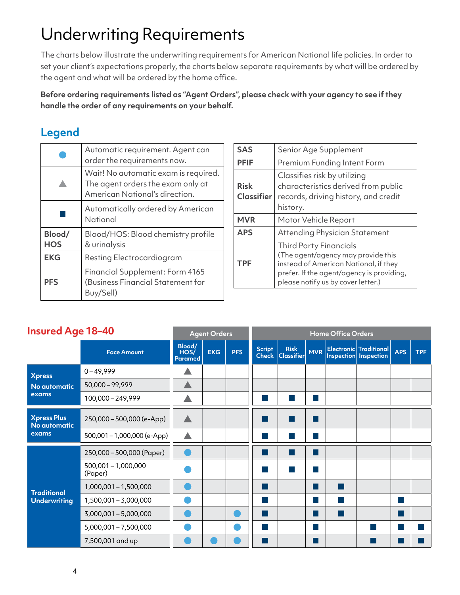# Underwriting Requirements

The charts below illustrate the underwriting requirements for American National life policies. In order to set your client's expectations properly, the charts below separate requirements by what will be ordered by the agent and what will be ordered by the home office.

**Before ordering requirements listed as "Agent Orders", please check with your agency to see if they handle the order of any requirements on your behalf.** 

### **Legend**

|                      | Automatic requirement. Agent can<br>order the requirements now.                                             |
|----------------------|-------------------------------------------------------------------------------------------------------------|
|                      | Wait! No automatic exam is required.<br>The agent orders the exam only at<br>American National's direction. |
|                      | Automatically ordered by American<br>National                                                               |
| Blood/<br><b>HOS</b> | Blood/HOS: Blood chemistry profile<br>& urinalysis                                                          |
| <b>EKG</b>           | Resting Electrocardiogram                                                                                   |
| <b>PFS</b>           | Financial Supplement: Form 4165<br>(Business Financial Statement for<br>Buy/Sell)                           |

| <b>SAS</b>                       | Senior Age Supplement                                                                                                                                                                           |
|----------------------------------|-------------------------------------------------------------------------------------------------------------------------------------------------------------------------------------------------|
| <b>PFIF</b>                      | Premium Funding Intent Form                                                                                                                                                                     |
| <b>Risk</b><br><b>Classifier</b> | Classifies risk by utilizing<br>characteristics derived from public<br>records, driving history, and credit<br>history.                                                                         |
| <b>MVR</b>                       | Motor Vehicle Report                                                                                                                                                                            |
| <b>APS</b>                       | Attending Physician Statement                                                                                                                                                                   |
| <b>TPF</b>                       | <b>Third Party Financials</b><br>(The agent/agency may provide this<br>instead of American National, if they<br>prefer. If the agent/agency is providing,<br>please notify us by cover letter.) |

| <b>Insured Age 18-40</b>                    |                                  |                           | <b>Agent Orders</b> |            | <b>Home Office Orders</b>     |                                  |                                         |  |                                                                |            |     |  |
|---------------------------------------------|----------------------------------|---------------------------|---------------------|------------|-------------------------------|----------------------------------|-----------------------------------------|--|----------------------------------------------------------------|------------|-----|--|
|                                             | <b>Face Amount</b>               | Blood/<br>HOS/<br>Paramed | <b>EKG</b>          | <b>PFS</b> | <b>Script</b><br><b>Check</b> | <b>Risk</b><br><b>Classifier</b> |                                         |  | <b>Electronic</b> Traditional<br>MVR   Inspection   Inspection | <b>APS</b> | TPF |  |
| <b>Xpress</b>                               | $0 - 49,999$                     |                           |                     |            |                               |                                  |                                         |  |                                                                |            |     |  |
| No automatic                                | $50,000 - 99,999$                |                           |                     |            |                               |                                  |                                         |  |                                                                |            |     |  |
| exams                                       | 100,000 - 249,999                |                           |                     |            |                               |                                  |                                         |  |                                                                |            |     |  |
| <b>Xpress Plus</b><br>No automatic<br>exams | 250,000 - 500,000 (e-App)        |                           |                     |            |                               |                                  | <b>Service Service</b>                  |  |                                                                |            |     |  |
|                                             | 500,001 - 1,000,000 (e-App)      |                           |                     |            |                               |                                  |                                         |  |                                                                |            |     |  |
|                                             | 250,000 - 500,000 (Paper)        |                           |                     |            |                               |                                  | - 1                                     |  |                                                                |            |     |  |
|                                             | $500,001 - 1,000,000$<br>(Paper) |                           |                     |            |                               |                                  |                                         |  |                                                                |            |     |  |
| <b>Traditional</b>                          | 1,000,001 - 1,500,000            |                           |                     |            |                               |                                  | $\mathcal{L}^{\text{max}}_{\text{max}}$ |  |                                                                |            |     |  |
| <b>Underwriting</b>                         | 1,500,001 - 3,000,000            |                           |                     |            |                               |                                  | <b>Service Service</b>                  |  |                                                                |            |     |  |
|                                             | 3,000,001 - 5,000,000            |                           |                     |            |                               |                                  |                                         |  |                                                                |            |     |  |
|                                             | 5,000,001 - 7,500,000            |                           |                     |            |                               |                                  |                                         |  |                                                                |            |     |  |
|                                             | 7,500,001 and up                 |                           |                     |            |                               |                                  |                                         |  |                                                                |            |     |  |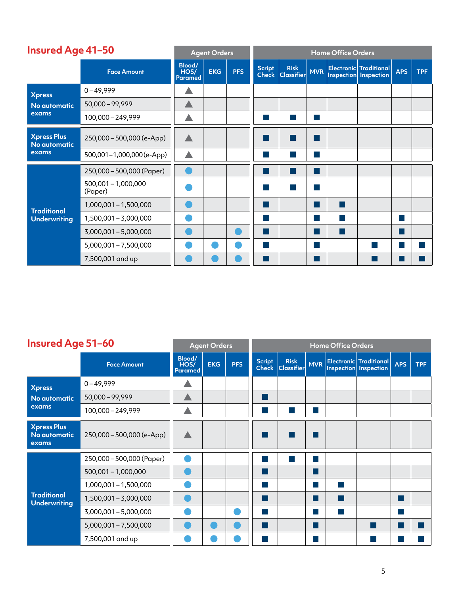| <b>Insured Age 41-50</b>                    |                                  |                           | <b>Agent Orders</b> |            |                               |                                  |                        | <b>Home Office Orders</b> |                                                        |            |            |
|---------------------------------------------|----------------------------------|---------------------------|---------------------|------------|-------------------------------|----------------------------------|------------------------|---------------------------|--------------------------------------------------------|------------|------------|
|                                             | <b>Face Amount</b>               | Blood/<br>HOS/<br>Paramed | <b>EKG</b>          | <b>PFS</b> | <b>Script</b><br><b>Check</b> | <b>Risk</b><br><b>Classifier</b> | <b>MVR</b>             |                           | <b>Electronic Traditional</b><br>Inspection Inspection | <b>APS</b> | <b>TPF</b> |
| <b>Xpress</b>                               | $0 - 49,999$                     |                           |                     |            |                               |                                  |                        |                           |                                                        |            |            |
| No automatic                                | $50,000 - 99,999$                |                           |                     |            |                               |                                  |                        |                           |                                                        |            |            |
| exams                                       | 100,000 - 249,999                |                           |                     |            |                               |                                  |                        |                           |                                                        |            |            |
| <b>Xpress Plus</b><br>No automatic<br>exams | 250,000 - 500,000 (e-App)        |                           |                     |            |                               |                                  | <b>Service Service</b> |                           |                                                        |            |            |
|                                             | 500,001-1,000,000(e-App)         |                           |                     |            |                               |                                  |                        |                           |                                                        |            |            |
|                                             | 250,000 - 500,000 (Paper)        |                           |                     |            |                               |                                  |                        |                           |                                                        |            |            |
|                                             | $500,001 - 1,000,000$<br>(Paper) |                           |                     |            |                               |                                  |                        |                           |                                                        |            |            |
| <b>Traditional</b>                          | 1,000,001 - 1,500,000            |                           |                     |            |                               |                                  | <b>Service Service</b> |                           |                                                        |            |            |
| <b>Underwriting</b>                         | 1,500,001 - 3,000,000            |                           |                     |            |                               |                                  |                        |                           |                                                        |            |            |
|                                             | 3,000,001 - 5,000,000            |                           |                     |            |                               |                                  |                        |                           |                                                        |            |            |
|                                             | 5,000,001 - 7,500,000            |                           |                     |            |                               |                                  |                        |                           |                                                        |            |            |
|                                             | 7,500,001 and up                 |                           |                     |            |                               |                                  |                        |                           |                                                        |            |            |

#### **Insured Age 51–60 Agent Orders Home Office Orders H**

| <u>Insured Age 51-60</u>                    |                           |                                  | <b>Agent Orders</b> |            | <b>Home Office Orders</b>     |                                  |            |  |                                                        |            |            |  |  |
|---------------------------------------------|---------------------------|----------------------------------|---------------------|------------|-------------------------------|----------------------------------|------------|--|--------------------------------------------------------|------------|------------|--|--|
|                                             | <b>Face Amount</b>        | Blood/<br>HOS/<br><b>Paramed</b> | <b>EKG</b>          | <b>PFS</b> | <b>Script</b><br><b>Check</b> | <b>Risk</b><br><b>Classifier</b> | <b>MVR</b> |  | <b>Electronic</b> Traditional<br>Inspection Inspection | <b>APS</b> | <b>TPF</b> |  |  |
| <b>Xpress</b>                               | $0 - 49,999$              |                                  |                     |            |                               |                                  |            |  |                                                        |            |            |  |  |
| No automatic                                | $50,000 - 99,999$         |                                  |                     |            |                               |                                  |            |  |                                                        |            |            |  |  |
| exams                                       | 100,000 - 249,999         |                                  |                     |            |                               |                                  |            |  |                                                        |            |            |  |  |
| <b>Xpress Plus</b><br>No automatic<br>exams | 250,000 - 500,000 (e-App) |                                  |                     |            |                               |                                  |            |  |                                                        |            |            |  |  |
|                                             | 250,000 - 500,000 (Paper) |                                  |                     |            | $\sim$                        |                                  |            |  |                                                        |            |            |  |  |
|                                             | $500,001 - 1,000,000$     |                                  |                     |            |                               |                                  |            |  |                                                        |            |            |  |  |
|                                             | 1,000,001 - 1,500,000     |                                  |                     |            |                               |                                  |            |  |                                                        |            |            |  |  |
| <b>Traditional</b><br><b>Underwriting</b>   | 1,500,001 - 3,000,000     |                                  |                     |            |                               |                                  |            |  |                                                        |            |            |  |  |
|                                             | 3,000,001 - 5,000,000     |                                  |                     |            |                               |                                  |            |  |                                                        |            |            |  |  |
|                                             | $5,000,001 - 7,500,000$   |                                  |                     |            |                               |                                  |            |  |                                                        |            |            |  |  |
|                                             | 7,500,001 and up          |                                  |                     |            |                               |                                  |            |  |                                                        |            |            |  |  |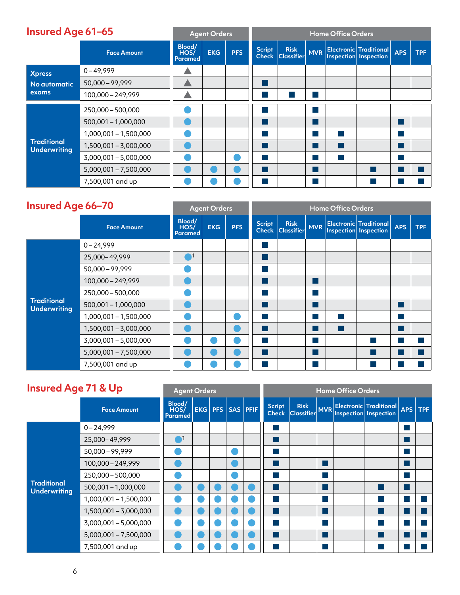| <b>Insured Age 61–65</b>                  |                         |                           | <b>Agent Orders</b> |            | <b>Home Office Orders</b> |                                     |  |  |                                                        |            |            |  |  |
|-------------------------------------------|-------------------------|---------------------------|---------------------|------------|---------------------------|-------------------------------------|--|--|--------------------------------------------------------|------------|------------|--|--|
|                                           | <b>Face Amount</b>      | Blood/<br>HOS/<br>Paramed | <b>EKG</b>          | <b>PFS</b> | <b>Script</b>             | <b>Risk</b><br>Check Classifier MVR |  |  | <b>Electronic</b> Traditional<br>Inspection Inspection | <b>APS</b> | <b>TPF</b> |  |  |
| <b>Xpress</b><br>No automatic<br>exams    | $0 - 49,999$            |                           |                     |            |                           |                                     |  |  |                                                        |            |            |  |  |
|                                           | $50,000 - 99,999$       |                           |                     |            |                           |                                     |  |  |                                                        |            |            |  |  |
|                                           | 100,000 - 249,999       |                           |                     |            |                           |                                     |  |  |                                                        |            |            |  |  |
|                                           | 250,000 - 500,000       |                           |                     |            |                           |                                     |  |  |                                                        |            |            |  |  |
|                                           | $500,001 - 1,000,000$   |                           |                     |            |                           |                                     |  |  |                                                        |            |            |  |  |
|                                           | 1,000,001 - 1,500,000   |                           |                     |            |                           |                                     |  |  |                                                        |            |            |  |  |
| <b>Traditional</b><br><b>Underwriting</b> | 1,500,001 - 3,000,000   |                           |                     |            |                           |                                     |  |  |                                                        |            |            |  |  |
|                                           | $3,000,001 - 5,000,000$ |                           |                     |            |                           |                                     |  |  |                                                        |            |            |  |  |
|                                           | $5,000,001 - 7,500,000$ |                           |                     |            |                           |                                     |  |  |                                                        |            |            |  |  |
|                                           | 7,500,001 and up        |                           |                     |            |                           |                                     |  |  |                                                        |            |            |  |  |

#### **Insured Age 66–70 Agent Orders Home Office Orders**

|                                           |                         |                                  | <b>Aydre</b> Orders |            | <b>TIONIC VINCE VIDED</b>     |                                  |            |  |                                                     |            |            |  |  |  |
|-------------------------------------------|-------------------------|----------------------------------|---------------------|------------|-------------------------------|----------------------------------|------------|--|-----------------------------------------------------|------------|------------|--|--|--|
|                                           | <b>Face Amount</b>      | Blood/<br>HOS/<br><b>Paramed</b> | <b>EKG</b>          | <b>PFS</b> | <b>Script</b><br><b>Check</b> | <b>Risk</b><br><b>Classifier</b> | <b>MVR</b> |  | $ $ Electronic Traditional<br>Inspection Inspection | <b>APS</b> | <b>TPF</b> |  |  |  |
|                                           | $0 - 24,999$            |                                  |                     |            |                               |                                  |            |  |                                                     |            |            |  |  |  |
|                                           | 25,000-49,999           | $\mathbf{\color{red}A}$          |                     |            |                               |                                  |            |  |                                                     |            |            |  |  |  |
|                                           | $50,000 - 99,999$       |                                  |                     |            |                               |                                  |            |  |                                                     |            |            |  |  |  |
|                                           | 100,000 - 249,999       |                                  |                     |            |                               |                                  |            |  |                                                     |            |            |  |  |  |
|                                           | 250,000 - 500,000       |                                  |                     |            |                               |                                  |            |  |                                                     |            |            |  |  |  |
| <b>Traditional</b><br><b>Underwriting</b> | $500,001 - 1,000,000$   |                                  |                     |            |                               |                                  |            |  |                                                     |            |            |  |  |  |
|                                           | 1,000,001 - 1,500,000   |                                  |                     |            |                               |                                  |            |  |                                                     |            |            |  |  |  |
|                                           | 1,500,001 - 3,000,000   |                                  |                     |            |                               |                                  |            |  |                                                     |            |            |  |  |  |
|                                           | 3,000,001 - 5,000,000   |                                  |                     |            |                               |                                  |            |  |                                                     |            |            |  |  |  |
|                                           | $5,000,001 - 7,500,000$ |                                  |                     |            |                               |                                  |            |  |                                                     |            |            |  |  |  |
|                                           | 7,500,001 and up        |                                  |                     |            |                               |                                  |            |  |                                                     |            |            |  |  |  |

| <b>Insured Age 71 &amp; Up</b>            | <b>Agent Orders</b>     |                                  |  | <b>Home Office Orders</b> |                 |  |  |  |                                         |  |  |
|-------------------------------------------|-------------------------|----------------------------------|--|---------------------------|-----------------|--|--|--|-----------------------------------------|--|--|
|                                           | <b>Face Amount</b>      | Blood/<br>HOS/<br><b>Paramed</b> |  | EKG   PFS   SAS   PFIF    | Script<br>Check |  |  |  | Risk MVR Electronic Traditional APS TPF |  |  |
|                                           | $0 - 24,999$            |                                  |  |                           |                 |  |  |  |                                         |  |  |
|                                           | 25,000-49,999           | $^{\small\frown}$ 1              |  |                           |                 |  |  |  |                                         |  |  |
|                                           | $50,000 - 99,999$       |                                  |  |                           |                 |  |  |  |                                         |  |  |
|                                           | 100,000 - 249,999       |                                  |  |                           |                 |  |  |  |                                         |  |  |
|                                           | 250,000 - 500,000       |                                  |  |                           |                 |  |  |  |                                         |  |  |
| <b>Traditional</b><br><b>Underwriting</b> | $500,001 - 1,000,000$   |                                  |  |                           |                 |  |  |  |                                         |  |  |
|                                           | 1,000,001 - 1,500,000   |                                  |  |                           |                 |  |  |  |                                         |  |  |
|                                           | 1,500,001 - 3,000,000   |                                  |  |                           |                 |  |  |  |                                         |  |  |
|                                           | 3,000,001 - 5,000,000   |                                  |  |                           |                 |  |  |  |                                         |  |  |
|                                           | $5,000,001 - 7,500,000$ |                                  |  |                           |                 |  |  |  |                                         |  |  |
|                                           | 7,500,001 and up        |                                  |  |                           |                 |  |  |  |                                         |  |  |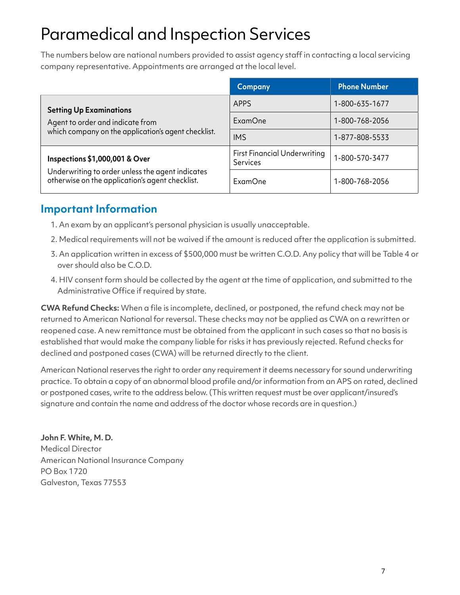# Paramedical and Inspection Services

The numbers below are national numbers provided to assist agency staff in contacting a local servicing company representative. Appointments are arranged at the local level.

|                                                                                                     | <b>Company</b>                                         | <b>Phone Number</b> |
|-----------------------------------------------------------------------------------------------------|--------------------------------------------------------|---------------------|
| <b>Setting Up Examinations</b>                                                                      | APPS                                                   | 1-800-635-1677      |
| Agent to order and indicate from                                                                    | ExamOne                                                | 1-800-768-2056      |
| which company on the application's agent checklist.                                                 | <b>IMS</b>                                             | 1-877-808-5533      |
| Inspections \$1,000,001 & Over                                                                      | <b>First Financial Underwriting</b><br><b>Services</b> | 1-800-570-3477      |
| Underwriting to order unless the agent indicates<br>otherwise on the application's agent checklist. | ExamOne                                                | 1-800-768-2056      |

### **Important Information**

- 1. An exam by an applicant's personal physician is usually unacceptable.
- 2. Medical requirements will not be waived if the amount is reduced after the application is submitted.
- 3. An application written in excess of \$500,000 must be written C.O.D. Any policy that will be Table 4 or over should also be C.O.D.
- 4. HIV consent form should be collected by the agent at the time of application, and submitted to the Administrative Office if required by state.

**CWA Refund Checks:** When a file is incomplete, declined, or postponed, the refund check may not be returned to American National for reversal. These checks may not be applied as CWA on a rewritten or reopened case. A new remittance must be obtained from the applicant in such cases so that no basis is established that would make the company liable for risks it has previously rejected. Refund checks for declined and postponed cases (CWA) will be returned directly to the client.

American National reserves the right to order any requirement it deems necessary for sound underwriting practice. To obtain a copy of an abnormal blood profile and/or information from an APS on rated, declined or postponed cases, write to the address below. (This written request must be over applicant/insured's signature and contain the name and address of the doctor whose records are in question.)

**John F. White, M. D.**  Medical Director American National Insurance Company PO Box 1720 Galveston, Texas 77553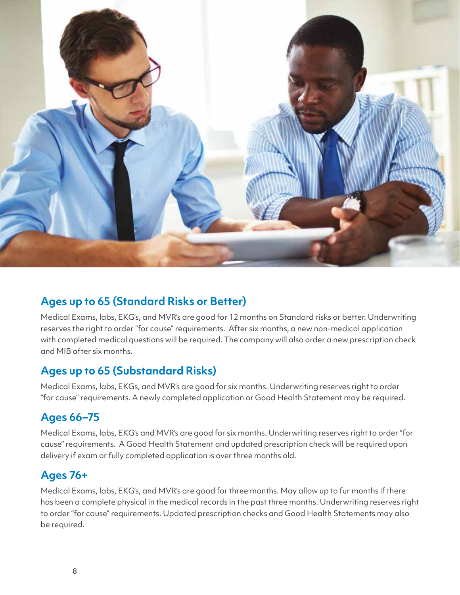

### **Ages up to 65 (Standard Risks or Better)**

Medical Exams, labs, EKG's, and MVR's are good for 12 months on Standard risks or better. Underwriting reserves the right to order "for cause" requirements. After six months, a new non-medical application with completed medical questions will be required. The company will also order a new prescription check and MIB after six months.

### **Ages up to 65 (Substandard Risks)**

Medical Exams, labs, EKGs, and MVR's are good for six months. Underwriting reserves right to order "for cause" requirements. A newly completed application or Good Health Statement may be required.

#### **Ages 66–75**

Medical Exams, labs, EKG's and MVR's are good for six months. Underwriting reserves right to order "for cause" requirements. A Good Health Statement and updated prescription check will be required upon delivery if exam or fully completed application is over three months old.

#### **Ages 76+**

Medical Exams, labs, EKG's, and MVR's are good for three months. May allow up to fur months if there has been a complete physical in the medical records in the past three months. Underwriting reserves right to order "for cause" requirements. Updated prescription checks and Good Health Statements may also be required.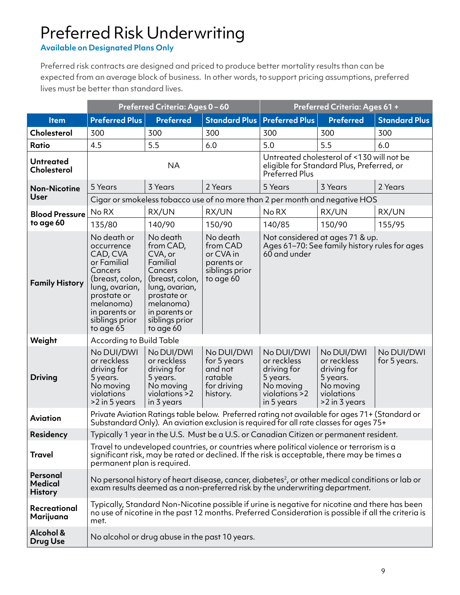# Preferred Risk Underwriting

**Available on Designated Plans Only** 

Preferred risk contracts are designed and priced to produce better mortality results than can be expected from an average block of business. In other words, to support pricing assumptions, preferred lives must be better than standard lives.

|                                              |                                                                                                                                                                                  | Preferred Criteria: Ages 0-60                                                                                                                                                                                          |                                                                                                                                                                                                        | Preferred Criteria: Ages 61 +                                                                            |                                                                                                  |                            |  |
|----------------------------------------------|----------------------------------------------------------------------------------------------------------------------------------------------------------------------------------|------------------------------------------------------------------------------------------------------------------------------------------------------------------------------------------------------------------------|--------------------------------------------------------------------------------------------------------------------------------------------------------------------------------------------------------|----------------------------------------------------------------------------------------------------------|--------------------------------------------------------------------------------------------------|----------------------------|--|
| <b>Item</b>                                  | <b>Preferred Plus</b>                                                                                                                                                            | <b>Preferred</b>                                                                                                                                                                                                       |                                                                                                                                                                                                        | <b>Standard Plus   Preferred Plus</b>                                                                    | <b>Preferred</b>                                                                                 | <b>Standard Plus</b>       |  |
| Cholesterol                                  | 300                                                                                                                                                                              | 300                                                                                                                                                                                                                    | 300                                                                                                                                                                                                    | 300                                                                                                      | 300                                                                                              | 300                        |  |
| <b>Ratio</b>                                 | 4.5                                                                                                                                                                              | 5.5                                                                                                                                                                                                                    | 6.0                                                                                                                                                                                                    | 5.0                                                                                                      | 5.5                                                                                              | 6.0                        |  |
| <b>Untreated</b><br><b>Cholesterol</b>       |                                                                                                                                                                                  | <b>NA</b>                                                                                                                                                                                                              |                                                                                                                                                                                                        | Untreated cholesterol of <130 will not be<br>eligible for Standard Plus, Preferred, or<br>Preferred Plus |                                                                                                  |                            |  |
| <b>Non-Nicotine</b>                          | 5 Years                                                                                                                                                                          | 3 Years                                                                                                                                                                                                                | 2 Years                                                                                                                                                                                                | 5 Years                                                                                                  | 3 Years                                                                                          | 2 Years                    |  |
| <b>User</b>                                  |                                                                                                                                                                                  |                                                                                                                                                                                                                        | Cigar or smokeless tobacco use of no more than 2 per month and negative HOS                                                                                                                            |                                                                                                          |                                                                                                  |                            |  |
| <b>Blood Pressure</b>                        | No RX                                                                                                                                                                            | RX/UN                                                                                                                                                                                                                  | RX/UN                                                                                                                                                                                                  | No RX                                                                                                    | RX/UN                                                                                            | RX/UN                      |  |
| to age 60                                    | 135/80                                                                                                                                                                           | 140/90                                                                                                                                                                                                                 | 150/90                                                                                                                                                                                                 | 140/85                                                                                                   | 150/90                                                                                           | 155/95                     |  |
| <b>Family History</b>                        | No death or<br>occurrence<br>CAD, CVA<br>or Familial<br>Cancers<br>(breast, colon,<br>lung, ovarian,<br>prostate or<br>melanoma)<br>in parents or<br>siblings prior<br>to age 65 | No death<br>from CAD,<br>CVA, or<br>Familial<br>Cancers<br>(breast, colon,<br>lung, ovarian,<br>prostate or<br>melanoma)<br>in parents or<br>siblings prior<br>to age 60                                               | No death<br>from CAD<br>or CVA in<br>parents or<br>siblings prior<br>to age 60                                                                                                                         | 60 and under                                                                                             | Not considered at ages 71 & up.<br>Ages 61-70: See family history rules for ages                 |                            |  |
| Weight                                       | According to Build Table                                                                                                                                                         |                                                                                                                                                                                                                        |                                                                                                                                                                                                        |                                                                                                          |                                                                                                  |                            |  |
| <b>Driving</b>                               | No DUI/DWI<br>or reckless<br>driving for<br>5 years.<br>No moving<br>violations<br>>2 in 5 years                                                                                 | No DUI/DWI<br>or reckless<br>driving for<br>5 years.<br>No moving<br>violations >2<br>in 3 years                                                                                                                       | No DUI/DWI<br>for 5 years<br>and not<br>ratable<br>for driving<br>history.                                                                                                                             | No DUI/DWI<br>or reckless<br>driving for<br>5 years.<br>No moving<br>violations >2<br>in 5 years         | No DUI/DWI<br>or reckless<br>driving for<br>5 years.<br>No moving<br>violations<br>>2 in 3 years | No DUI/DWI<br>for 5 years. |  |
| <b>Aviation</b>                              |                                                                                                                                                                                  |                                                                                                                                                                                                                        | Private Aviation Ratings table below. Preferred rating not available for ages 71+ (Standard or<br>Substandard Only). An aviation exclusion is required for all rate classes for ages 75+               |                                                                                                          |                                                                                                  |                            |  |
| <b>Residency</b>                             |                                                                                                                                                                                  |                                                                                                                                                                                                                        | Typically 1 year in the U.S. Must be a U.S. or Canadian Citizen or permanent resident.                                                                                                                 |                                                                                                          |                                                                                                  |                            |  |
| <b>Travel</b>                                |                                                                                                                                                                                  | Travel to undeveloped countries, or countries where political violence or terrorism is a<br>significant risk, may be rated or declined. If the risk is acceptable, there may be times a<br>permanent plan is required. |                                                                                                                                                                                                        |                                                                                                          |                                                                                                  |                            |  |
| Personal<br><b>Medical</b><br><b>History</b> |                                                                                                                                                                                  |                                                                                                                                                                                                                        | No personal history of heart disease, cancer, diabetes <sup>2</sup> , or other medical conditions or lab or<br>exam results deemed as a non-preferred risk by the underwriting department.             |                                                                                                          |                                                                                                  |                            |  |
| Recreational<br>Marijuana                    | met.                                                                                                                                                                             |                                                                                                                                                                                                                        | Typically, Standard Non-Nicotine possible if urine is negative for nicotine and there has been<br>no use of nicotine in the past 12 months. Preferred Consideration is possible if all the criteria is |                                                                                                          |                                                                                                  |                            |  |
| Alcohol &<br><b>Drug Use</b>                 |                                                                                                                                                                                  | No alcohol or drug abuse in the past 10 years.                                                                                                                                                                         |                                                                                                                                                                                                        |                                                                                                          |                                                                                                  |                            |  |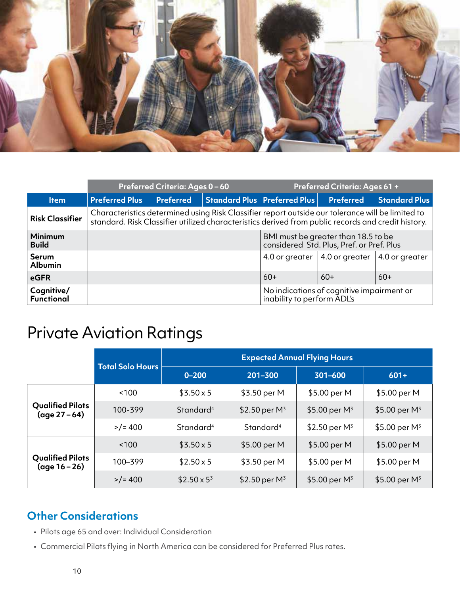

|                                 | Preferred Criteria: Ages 0-60                                                                                                                                                                          |                  |                                                   | <b>Preferred Criteria: Ages 61 +</b> |                                                                                  |                      |
|---------------------------------|--------------------------------------------------------------------------------------------------------------------------------------------------------------------------------------------------------|------------------|---------------------------------------------------|--------------------------------------|----------------------------------------------------------------------------------|----------------------|
| <b>Item</b>                     | <b>Preferred Plus</b>                                                                                                                                                                                  | <b>Preferred</b> | $\mid$ Standard Plus $\mid$ Preferred Plus $\mid$ |                                      | <b>Preferred</b>                                                                 | <b>Standard Plus</b> |
| <b>Risk Classifier</b>          | Characteristics determined using Risk Classifier report outside our tolerance will be limited to<br>standard. Risk Classifier utilized characteristics derived from public records and credit history. |                  |                                                   |                                      |                                                                                  |                      |
| <b>Minimum</b><br><b>Build</b>  |                                                                                                                                                                                                        |                  |                                                   |                                      | BMI must be greater than 18.5 to be<br>considered Std. Plus, Pref. or Pref. Plus |                      |
| <b>Serum</b><br><b>Albumin</b>  |                                                                                                                                                                                                        |                  |                                                   |                                      | 4.0 or greater $\vert$ 4.0 or greater $\vert$ 4.0 or greater                     |                      |
| eGFR                            |                                                                                                                                                                                                        |                  |                                                   | $60+$                                | $60+$                                                                            | $60+$                |
| Cognitive/<br><b>Functional</b> |                                                                                                                                                                                                        |                  |                                                   | inability to perform ADL's           | No indications of cognitive impairment or                                        |                      |

# Private Aviation Ratings

|                                                    | <b>Total Solo Hours</b> | <b>Expected Annual Flying Hours</b> |                       |                  |                  |  |  |
|----------------------------------------------------|-------------------------|-------------------------------------|-----------------------|------------------|------------------|--|--|
|                                                    |                         | $0 - 200$                           | 201-300               | 301-600          | $601+$           |  |  |
| <b>Qualified Pilots</b><br>$(\text{age } 27 - 64)$ | ~100                    | $$3.50 \times 5$                    | \$3.50 per M          | \$5.00 per M     | \$5.00 per M     |  |  |
|                                                    | 100-399                 | Standard <sup>4</sup>               |                       | \$5.00 per $M^3$ | \$5.00 per $M^3$ |  |  |
|                                                    | $>$ /= 400              | Standard <sup>4</sup>               | Standard <sup>4</sup> | \$2.50 per $M^3$ | \$5.00 per $M^3$ |  |  |
| <b>Qualified Pilots</b><br>$(\text{age }16-26)$    | ~100                    | $$3.50 \times 5$                    | \$5.00 per M          | \$5.00 per M     | \$5.00 per M     |  |  |
|                                                    | 100-399                 | $$2.50 \times 5$                    | \$3.50 per M          | \$5.00 per M     | \$5.00 per M     |  |  |
|                                                    | $>$ /= 400              | $$2.50 \times 5^3$                  | \$2.50 per $M^3$      | \$5.00 per $M^3$ | \$5.00 per $M^3$ |  |  |

#### **Other Considerations**

- Pilots age 65 and over: Individual Consideration
- Commercial Pilots flying in North America can be considered for Preferred Plus rates.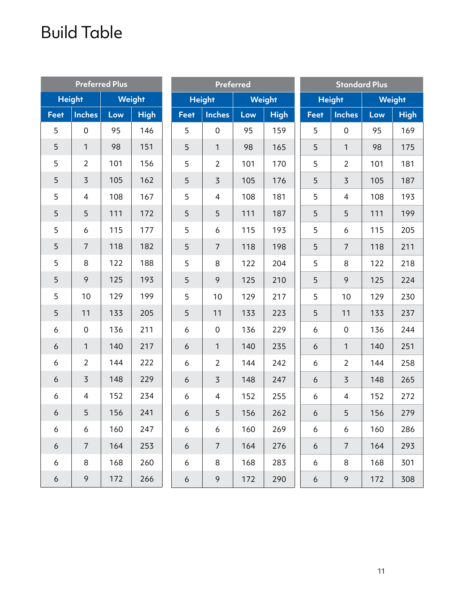# Build Table

|             |                | <b>Preferred Plus</b> |               |                  |                | <b>Preferred</b> |             |                 |                     | <b>Standard Plus</b> |             |
|-------------|----------------|-----------------------|---------------|------------------|----------------|------------------|-------------|-----------------|---------------------|----------------------|-------------|
|             | <b>Height</b>  |                       | <b>Weight</b> | <b>Height</b>    |                | <b>Weight</b>    |             |                 | <b>Height</b>       | <b>Weight</b>        |             |
| <b>Feet</b> | <b>Inches</b>  | Low                   | <b>High</b>   | <b>Feet</b>      | <b>Inches</b>  | Low              | <b>High</b> | <b>Feet</b>     | <b>Inches</b>       | Low                  | <b>High</b> |
| 5           | $\mathbf 0$    | 95                    | 146           | 5                | $\mathbf 0$    | 95               | 159         | 5               | $\mathbf 0$         | 95                   | 169         |
| 5           | $\mathbf{1}$   | 98                    | 151           | 5                | $\mathbf{1}$   | 98               | 165         | 5               | $\mathbf{1}$        | 98                   | 175         |
| 5           | $\overline{2}$ | 101                   | 156           | 5                | $\overline{2}$ | 101              | 170         | 5               | $\overline{2}$      | 101                  | 181         |
| 5           | $\overline{3}$ | 105                   | 162           | 5                | $\overline{3}$ | 105              | 176         | 5               | $\overline{3}$      | 105                  | 187         |
| 5           | $\overline{4}$ | 108                   | 167           | 5                | 4              | 108              | 181         | 5               | $\overline{4}$      | 108                  | 193         |
| 5           | 5              | 111                   | 172           | 5                | 5              | 111              | 187         | 5               | 5                   | 111                  | 199         |
| 5           | 6              | 115                   | 177           | 5                | 6              | 115              | 193         | 5               | 6                   | 115                  | 205         |
| 5           | $\overline{7}$ | 118                   | 182           | 5                | $\overline{7}$ | 118              | 198         | 5               | $\overline{7}$      | 118                  | 211         |
| 5           | 8              | 122                   | 188           | 5                | 8              | 122              | 204         | 5               | 8                   | 122                  | 218         |
| 5           | 9              | 125                   | 193           | 5                | 9              | 125              | 210         | 5               | 9                   | 125                  | 224         |
| 5           | 10             | 129                   | 199           | 5                | 10             | 129              | 217         | 5               | 10                  | 129                  | 230         |
| 5           | 11             | 133                   | 205           | 5                | 11             | 133              | 223         | 5               | 11                  | 133                  | 237         |
| 6           | $\mathbf 0$    | 136                   | 211           | 6                | $\mathbf 0$    | 136              | 229         | 6               | $\mathsf{O}\xspace$ | 136                  | 244         |
| 6           | $\mathbf{1}$   | 140                   | 217           | 6                | $\mathbf{1}$   | 140              | 235         | 6               | 1                   | 140                  | 251         |
| 6           | $\overline{2}$ | 144                   | 222           | 6                | $\overline{2}$ | 144              | 242         | 6               | $\overline{2}$      | 144                  | 258         |
| 6           | $\overline{3}$ | 148                   | 229           | 6                | $\overline{3}$ | 148              | 247         | 6               | $\overline{3}$      | 148                  | 265         |
| 6           | $\overline{4}$ | 152                   | 234           | 6                | 4              | 152              | 255         | 6               | $\overline{4}$      | 152                  | 272         |
| 6           | 5              | 156                   | 241           | 6 <sup>1</sup>   | 5 <sup>1</sup> | 156              | 262         | $6\overline{)}$ | 5 <sub>1</sub>      | 156                  | 279         |
| 6           | 6              | 160                   | 247           | 6                | 6              | 160              | 269         | 6               | 6                   | 160                  | 286         |
| 6           | $\overline{7}$ | 164                   | 253           | 6                | $\overline{7}$ | 164              | 276         | 6               | $\overline{7}$      | 164                  | 293         |
| 6           | 8              | 168                   | 260           | 6                | $\,8\,$        | 168              | 283         | 6               | 8                   | 168                  | 301         |
| 6           | 9              | 172                   | 266           | $\boldsymbol{6}$ | 9              | 172              | 290         | 6               | 9                   | 172                  | 308         |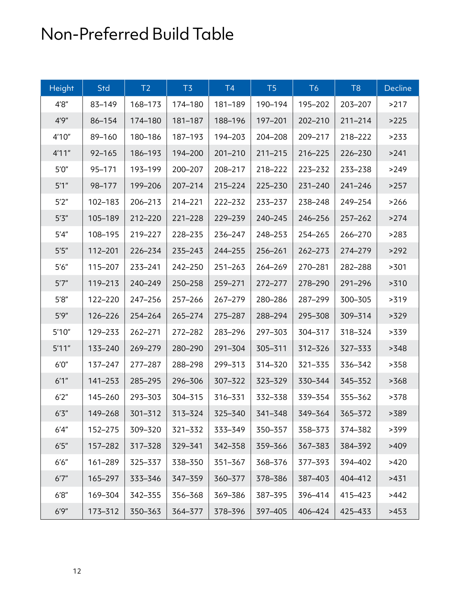# Non-Preferred Build Table

| Height  | Std         | T <sub>2</sub> | T <sub>3</sub> | T4          | T <sub>5</sub> | T <sub>6</sub> | T <sub>8</sub> | Decline |
|---------|-------------|----------------|----------------|-------------|----------------|----------------|----------------|---------|
| 4'8''   | 83-149      | 168-173        | 174-180        | 181-189     | 190-194        | 195-202        | 203-207        | >217    |
| 4'9''   | 86-154      | 174-180        | 181-187        | 188-196     | 197-201        | 202-210        | $211 - 214$    | >225    |
| 4'10"   | 89-160      | 180-186        | 187-193        | 194-203     | 204-208        | 209-217        | 218-222        | >233    |
| 4'11''  | $92 - 165$  | 186-193        | 194-200        | $201 - 210$ | $211 - 215$    | 216-225        | 226-230        | >241    |
| $5'0''$ | 95-171      | 193-199        | 200-207        | 208-217     | 218-222        | 223-232        | 233-238        | >249    |
| 5'1''   | 98-177      | 199-206        | 207-214        | 215-224     | 225-230        | $231 - 240$    | $241 - 246$    | >257    |
| 5'2''   | 102-183     | 206-213        | 214-221        | 222-232     | 233-237        | 238-248        | 249-254        | >266    |
| $5'3''$ | 105-189     | 212-220        | 221-228        | 229-239     | 240-245        | 246-256        | $257 - 262$    | >274    |
| 5'4''   | 108-195     | 219-227        | 228-235        | 236-247     | 248-253        | 254-265        | 266-270        | >283    |
| $5'5''$ | 112-201     | 226-234        | 235-243        | 244-255     | 256-261        | $262 - 273$    | 274-279        | >292    |
| 5'6''   | 115-207     | 233-241        | 242-250        | $251 - 263$ | 264-269        | 270-281        | 282-288        | >301    |
| 5'7''   | 119-213     | 240-249        | 250-258        | 259-271     | 272-277        | 278-290        | 291-296        | >310    |
| 5'8''   | 122-220     | 247-256        | 257-266        | 267-279     | 280-286        | 287-299        | 300-305        | >319    |
| 5'9''   | 126-226     | 254-264        | 265-274        | 275-287     | 288-294        | 295-308        | 309-314        | >329    |
| 5'10''  | 129-233     | 262-271        | 272-282        | 283-296     | 297-303        | 304-317        | 318-324        | >339    |
| 5'11''  | 133-240     | 269-279        | 280-290        | 291-304     | 305-311        | 312-326        | 327-333        | >348    |
| 6'0''   | 137-247     | 277-287        | 288-298        | 299-313     | 314-320        | 321-335        | 336-342        | >358    |
| 6'1''   | $141 - 253$ | 285-295        | 296-306        | 307-322     | 323-329        | 330-344        | 345-352        | >368    |
| 6'2''   | 145-260     | 293-303        | 304-315        | 316-331     | 332-338        | 339-354        | 355-362        | >378    |
| 6'3''   | 149-268     | $301 - 312$    | 313-324        | 325-340     | 341-348        | 349-364        | 365–372        | >389    |
| 6'4''   | 152-275     | 309-320        | 321-332        | 333-349     | 350-357        | 358-373        | 374-382        | >399    |
| 6'5''   | 157-282     | 317-328        | 329-341        | 342-358     | 359-366        | 367-383        | 384-392        | >409    |
| $6'6''$ | 161-289     | 325-337        | 338-350        | 351-367     | 368-376        | 377-393        | 394-402        | >420    |
| 6'7''   | 165-297     | 333-346        | 347-359        | 360-377     | 378-386        | 387-403        | 404-412        | >431    |
| 6'8''   | 169-304     | 342-355        | 356-368        | 369-386     | 387-395        | 396-414        | 415-423        | >442    |
| 6'9''   | 173-312     | 350-363        | 364-377        | 378-396     | 397-405        | 406-424        | 425-433        | >453    |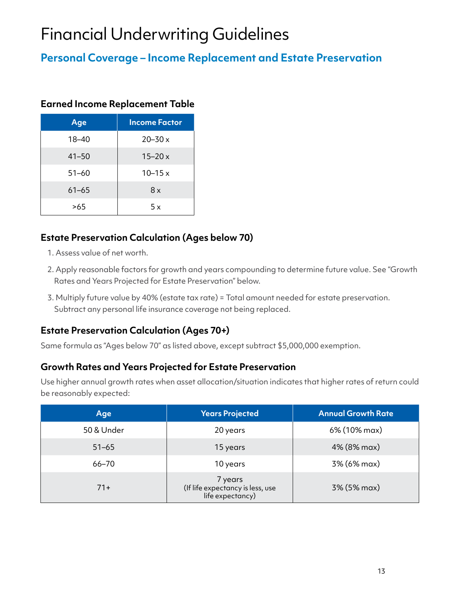# Financial Underwriting Guidelines

### **Personal Coverage – Income Replacement and Estate Preservation**

#### **Earned Income Replacement Table**

| Age       | <b>Income Factor</b> |
|-----------|----------------------|
| $18 - 40$ | $20 - 30x$           |
| $41 - 50$ | $15 - 20x$           |
| $51 - 60$ | $10 - 15x$           |
| $61 - 65$ | 8x                   |
| >65       | 5 x                  |

#### **Estate Preservation Calculation (Ages below 70)**

- 1. Assess value of net worth.
- 2. Apply reasonable factors for growth and years compounding to determine future value. See "Growth Rates and Years Projected for Estate Preservation" below.
- 3. Multiply future value by 40% (estate tax rate) = Total amount needed for estate preservation. Subtract any personal life insurance coverage not being replaced.

#### **Estate Preservation Calculation (Ages 70+)**

Same formula as "Ages below 70" as listed above, except subtract \$5,000,000 exemption.

#### **Growth Rates and Years Projected for Estate Preservation**

Use higher annual growth rates when asset allocation/situation indicates that higher rates of return could be reasonably expected:

| Age        | <b>Years Projected</b>                                          | <b>Annual Growth Rate</b> |
|------------|-----------------------------------------------------------------|---------------------------|
| 50 & Under | 20 years                                                        | 6% (10% max)              |
| $51 - 65$  | 15 years                                                        | 4% (8% max)               |
| $66 - 70$  | 10 years                                                        | 3% (6% max)               |
| $71+$      | 7 years<br>(If life expectancy is less, use<br>life expectancy) | 3% (5% max)               |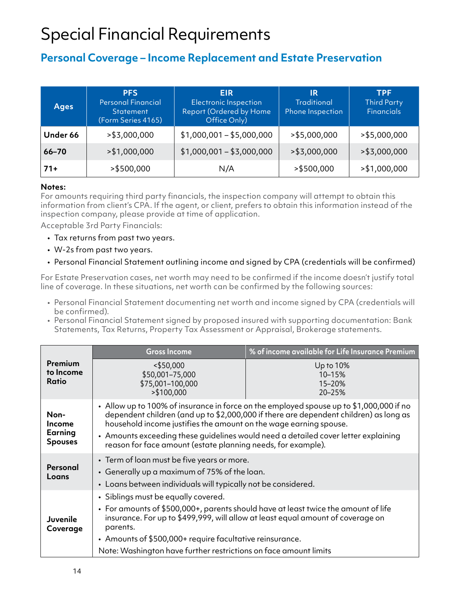# Special Financial Requirements

#### **Personal Coverage – Income Replacement and Estate Preservation**

| <b>Ages</b> | <b>PFS</b><br><b>Personal Financial</b><br><b>Statement</b><br>(Form Series 4165) | <b>EIR</b><br><b>Electronic Inspection</b><br>Report (Ordered by Home<br>Office Only) | IR<br><b>Traditional</b><br>Phone Inspection | <b>TPF</b><br><b>Third Party</b><br><b>Financials</b> |
|-------------|-----------------------------------------------------------------------------------|---------------------------------------------------------------------------------------|----------------------------------------------|-------------------------------------------------------|
| Under 66    | $>$ \$3,000,000                                                                   | $$1,000,001 - $5,000,000$                                                             | $>$ \$5,000,000                              | $>$ \$5,000,000                                       |
| $66 - 70$   | $>$ \$1,000,000                                                                   | $$1,000,001 - $3,000,000$                                                             | $>$ \$3,000,000                              | $>$ \$3,000,000                                       |
| $71+$       | >\$500,000                                                                        | N/A                                                                                   | $>$ \$500,000                                | $>$ \$1,000,000                                       |

#### **Notes:**

For amounts requiring third party financials, the inspection company will attempt to obtain this information from client's CPA. If the agent, or client, prefers to obtain this information instead of the inspection company, please provide at time of application.

Acceptable 3rd Party Financials:

- Tax returns from past two years.
- W-2s from past two years.
- Personal Financial Statement outlining income and signed by CPA (credentials will be confirmed)

For Estate Preservation cases, net worth may need to be confirmed if the income doesn't justify total line of coverage. In these situations, net worth can be confirmed by the following sources:

- Personal Financial Statement documenting net worth and income signed by CPA (credentials will be confirmed).
- Personal Financial Statement signed by proposed insured with supporting documentation: Bank Statements, Tax Returns, Property Tax Assessment or Appraisal, Brokerage statements.

|                                                    | <b>Gross Income</b>                                                                                                                                                                                                                                                                                                                                                                                          | % of income available for Life Insurance Premium |  |  |  |
|----------------------------------------------------|--------------------------------------------------------------------------------------------------------------------------------------------------------------------------------------------------------------------------------------------------------------------------------------------------------------------------------------------------------------------------------------------------------------|--------------------------------------------------|--|--|--|
| Premium<br>to Income<br>Ratio                      | $<$ \$50,000<br>\$50,001-75,000<br>\$75,001-100,000<br>$>$ \$100,000                                                                                                                                                                                                                                                                                                                                         | Up to 10%<br>10-15%<br>15-20%<br>20-25%          |  |  |  |
| Non-<br><b>Income</b><br>Earning<br><b>Spouses</b> | - Allow up to 100% of insurance in force on the employed spouse up to $$1,000,000$ if no<br>dependent children (and up to \$2,000,000 if there are dependent children) as long as<br>household income justifies the amount on the wage earning spouse.<br>• Amounts exceeding these guidelines would need a detailed cover letter explaining<br>reason for face amount (estate planning needs, for example). |                                                  |  |  |  |
| Personal<br>Loans                                  | • Term of loan must be five years or more.<br>• Generally up a maximum of 75% of the loan.<br>• Loans between individuals will typically not be considered.                                                                                                                                                                                                                                                  |                                                  |  |  |  |
| <b>Juvenile</b><br>Coverage                        | • Siblings must be equally covered.<br>• For amounts of $$500,000+$ , parents should have at least twice the amount of life<br>insurance. For up to \$499,999, will allow at least equal amount of coverage on<br>parents.<br>• Amounts of \$500,000+ require facultative reinsurance.<br>Note: Washington have further restrictions on face amount limits                                                   |                                                  |  |  |  |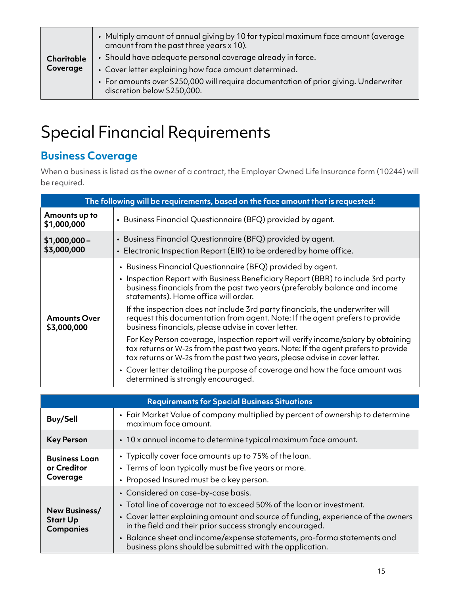|            | • Multiply amount of annual giving by 10 for typical maximum face amount (average<br>amount from the past three years x 10). |
|------------|------------------------------------------------------------------------------------------------------------------------------|
| Charitable | • Should have adequate personal coverage already in force.                                                                   |
| Coverage   | • Cover letter explaining how face amount determined.                                                                        |
|            | • For amounts over \$250,000 will require documentation of prior giving. Underwriter<br>discretion below \$250,000.          |

## Special Financial Requirements

### **Business Coverage**

When a business is listed as the owner of a contract, the Employer Owned Life Insurance form (10244) will be required.

|                                    | The following will be requirements, based on the face amount that is requested:                                                                                                                                                                                                                                                                                                                                                                                                                                                                                                   |  |  |  |  |
|------------------------------------|-----------------------------------------------------------------------------------------------------------------------------------------------------------------------------------------------------------------------------------------------------------------------------------------------------------------------------------------------------------------------------------------------------------------------------------------------------------------------------------------------------------------------------------------------------------------------------------|--|--|--|--|
| Amounts up to<br>\$1,000,000       | · Business Financial Questionnaire (BFQ) provided by agent.                                                                                                                                                                                                                                                                                                                                                                                                                                                                                                                       |  |  |  |  |
| $$1,000,000-$<br>\$3,000,000       | • Business Financial Questionnaire (BFQ) provided by agent.<br>• Electronic Inspection Report (EIR) to be ordered by home office.                                                                                                                                                                                                                                                                                                                                                                                                                                                 |  |  |  |  |
| <b>Amounts Over</b><br>\$3,000,000 | • Business Financial Questionnaire (BFQ) provided by agent.<br>• Inspection Report with Business Beneficiary Report (BBR) to include 3rd party<br>business financials from the past two years (preferably balance and income<br>statements). Home office will order.<br>If the inspection does not include 3rd party financials, the underwriter will<br>request this documentation from agent. Note: If the agent prefers to provide<br>business financials, please advise in cover letter.<br>For Key Person coverage, Inspection report will verify income/salary by obtaining |  |  |  |  |
|                                    | tax returns or W-2s from the past two years. Note: If the agent prefers to provide<br>tax returns or W-2s from the past two years, please advise in cover letter.<br>• Cover letter detailing the purpose of coverage and how the face amount was                                                                                                                                                                                                                                                                                                                                 |  |  |  |  |
|                                    | determined is strongly encouraged.                                                                                                                                                                                                                                                                                                                                                                                                                                                                                                                                                |  |  |  |  |

| <b>Requirements for Special Business Situations</b>  |                                                                                                                                                                                                                                                                                                                                                                                                      |  |  |
|------------------------------------------------------|------------------------------------------------------------------------------------------------------------------------------------------------------------------------------------------------------------------------------------------------------------------------------------------------------------------------------------------------------------------------------------------------------|--|--|
| <b>Buy/Sell</b>                                      | • Fair Market Value of company multiplied by percent of ownership to determine<br>maximum face amount.                                                                                                                                                                                                                                                                                               |  |  |
| <b>Key Person</b>                                    | • 10 x annual income to determine typical maximum face amount.                                                                                                                                                                                                                                                                                                                                       |  |  |
| <b>Business Loan</b><br>or Creditor<br>Coverage      | • Typically cover face amounts up to 75% of the loan.<br>• Terms of loan typically must be five years or more.<br>• Proposed Insured must be a key person.                                                                                                                                                                                                                                           |  |  |
| New Business/<br><b>Start Up</b><br><b>Companies</b> | • Considered on case-by-case basis.<br>• Total line of coverage not to exceed 50% of the loan or investment.<br>• Cover letter explaining amount and source of funding, experience of the owners<br>in the field and their prior success strongly encouraged.<br>• Balance sheet and income/expense statements, pro-forma statements and<br>business plans should be submitted with the application. |  |  |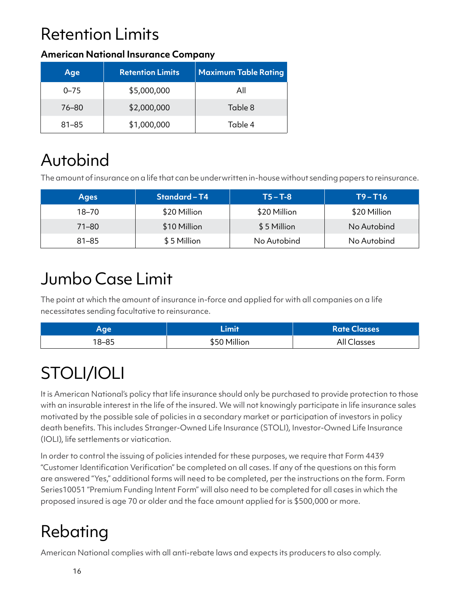# Retention Limits

#### **American National Insurance Company**

| Age       | <b>Retention Limits</b> | <b>Maximum Table Rating</b> |
|-----------|-------------------------|-----------------------------|
| $0 - 75$  | \$5,000,000             | All                         |
| 76–80     | \$2,000,000             | Table 8                     |
| $81 - 85$ | \$1,000,000             | Table 4                     |

# Autobind

The amount of insurance on a life that can be underwritten in-house without sending papers to reinsurance.

| <b>Ages</b> | Standard-T4  | $T5 - T-8$   | $T9 - T16$   |
|-------------|--------------|--------------|--------------|
| $18 - 70$   | \$20 Million | \$20 Million | \$20 Million |
| $71 - 80$   | \$10 Million | \$5 Million  | No Autobind  |
| $81 - 85$   | \$5 Million  | No Autobind  | No Autobind  |

### Jumbo Case Limit

The point at which the amount of insurance in-force and applied for with all companies on a life necessitates sending facultative to reinsurance.

| Aqe   | فتصدئنا      | <b>Rate Classes</b> |
|-------|--------------|---------------------|
| 18–85 | \$50 Million | All Classes         |

# STOLI/IOLI

It is American National's policy that life insurance should only be purchased to provide protection to those with an insurable interest in the life of the insured. We will not knowingly participate in life insurance sales motivated by the possible sale of policies in a secondary market or participation of investors in policy death benefits. This includes Stranger-Owned Life Insurance (STOLI), Investor-Owned Life Insurance (IOLI), life settlements or viatication.

In order to control the issuing of policies intended for these purposes, we require that Form 4439 "Customer Identification Verification" be completed on all cases. If any of the questions on this form are answered "Yes," additional forms will need to be completed, per the instructions on the form. Form Series10051 "Premium Funding Intent Form" will also need to be completed for all cases in which the proposed insured is age 70 or older and the face amount applied for is \$500,000 or more.

# Rebating

American National complies with all anti-rebate laws and expects its producers to also comply.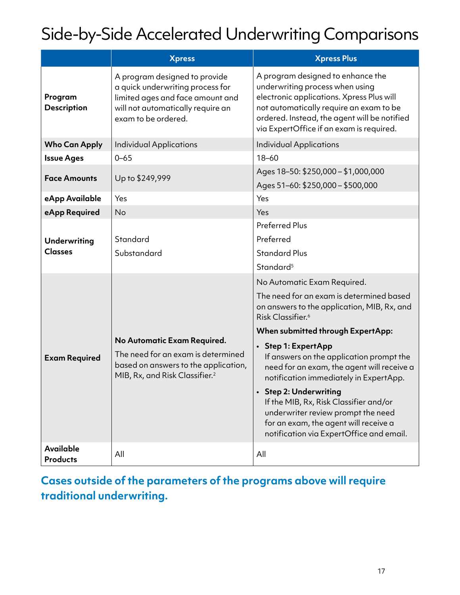# Side-by-Side Accelerated Underwriting Comparisons

|                                       | <b>Xpress</b>                                                                                                                                                     | <b>Xpress Plus</b>                                                                                                                                                                                                                                                                                                                                                                                                                                                                                                                                     |  |
|---------------------------------------|-------------------------------------------------------------------------------------------------------------------------------------------------------------------|--------------------------------------------------------------------------------------------------------------------------------------------------------------------------------------------------------------------------------------------------------------------------------------------------------------------------------------------------------------------------------------------------------------------------------------------------------------------------------------------------------------------------------------------------------|--|
| Program<br><b>Description</b>         | A program designed to provide<br>a quick underwriting process for<br>limited ages and face amount and<br>will not automatically require an<br>exam to be ordered. | A program designed to enhance the<br>underwriting process when using<br>electronic applications. Xpress Plus will<br>not automatically require an exam to be<br>ordered. Instead, the agent will be notified<br>via ExpertOffice if an exam is required.                                                                                                                                                                                                                                                                                               |  |
| <b>Who Can Apply</b>                  | <b>Individual Applications</b>                                                                                                                                    | <b>Individual Applications</b>                                                                                                                                                                                                                                                                                                                                                                                                                                                                                                                         |  |
| <b>Issue Ages</b>                     | $0 - 65$                                                                                                                                                          | $18 - 60$                                                                                                                                                                                                                                                                                                                                                                                                                                                                                                                                              |  |
| <b>Face Amounts</b>                   | Up to \$249,999                                                                                                                                                   | Ages 18-50: \$250,000 - \$1,000,000<br>Ages 51-60: \$250,000 - \$500,000                                                                                                                                                                                                                                                                                                                                                                                                                                                                               |  |
| eApp Available                        | Yes                                                                                                                                                               | Yes                                                                                                                                                                                                                                                                                                                                                                                                                                                                                                                                                    |  |
| eApp Required                         | <b>No</b>                                                                                                                                                         | Yes                                                                                                                                                                                                                                                                                                                                                                                                                                                                                                                                                    |  |
| <b>Underwriting</b><br><b>Classes</b> | Standard<br>Substandard                                                                                                                                           | <b>Preferred Plus</b><br>Preferred<br><b>Standard Plus</b><br>Standard <sup>5</sup>                                                                                                                                                                                                                                                                                                                                                                                                                                                                    |  |
| <b>Exam Required</b>                  | No Automatic Exam Required.<br>The need for an exam is determined<br>based on answers to the application,<br>MIB, Rx, and Risk Classifier. <sup>2</sup>           | No Automatic Exam Required.<br>The need for an exam is determined based<br>on answers to the application, MIB, Rx, and<br>Risk Classifier. <sup>6</sup><br>When submitted through ExpertApp:<br>• Step 1: ExpertApp<br>If answers on the application prompt the<br>need for an exam, the agent will receive a<br>notification immediately in ExpertApp.<br>• Step 2: Underwriting<br>If the MIB, Rx, Risk Classifier and/or<br>underwriter review prompt the need<br>for an exam, the agent will receive a<br>notification via ExpertOffice and email. |  |
| <b>Available</b><br><b>Products</b>   | All                                                                                                                                                               | All                                                                                                                                                                                                                                                                                                                                                                                                                                                                                                                                                    |  |

### **Cases outside of the parameters of the programs above will require traditional underwriting.**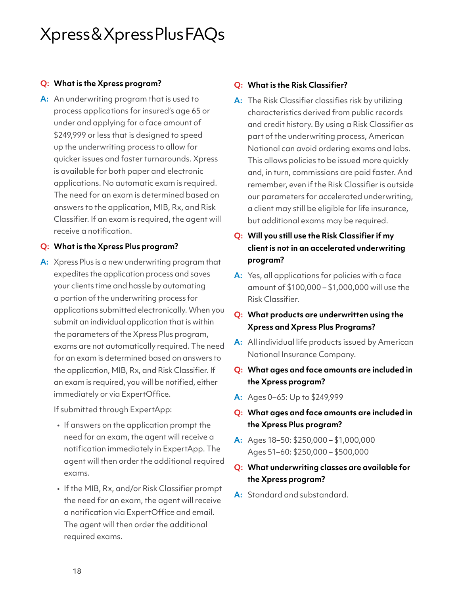## Xpress & Xpress Plus FAQs

#### **Q: What is the Xpress program?**

**A:** An underwriting program that is used to process applications for insured's age 65 or under and applying for a face amount of \$249,999 or less that is designed to speed up the underwriting process to allow for quicker issues and faster turnarounds. Xpress is available for both paper and electronic applications. No automatic exam is required. The need for an exam is determined based on answers to the application, MIB, Rx, and Risk Classifier. If an exam is required, the agent will receive a notification.

#### **Q: What is the Xpress Plus program?**

**A:** Xpress Plus is a new underwriting program that expedites the application process and saves your clients time and hassle by automating a portion of the underwriting process for applications submitted electronically. When you submit an individual application that is within the parameters of the Xpress Plus program, exams are not automatically required. The need for an exam is determined based on answers to the application, MIB, Rx, and Risk Classifier. If an exam is required, you will be notified, either immediately or via ExpertOffice.

If submitted through ExpertApp:

- If answers on the application prompt the need for an exam, the agent will receive a notification immediately in ExpertApp. The agent will then order the additional required exams.
- If the MIB, Rx, and/or Risk Classifier prompt the need for an exam, the agent will receive a notification via ExpertOffice and email. The agent will then order the additional required exams.

#### **Q: What is the Risk Classifier?**

- **A:** The Risk Classifier classifies risk by utilizing characteristics derived from public records and credit history. By using a Risk Classifier as part of the underwriting process, American National can avoid ordering exams and labs. This allows policies to be issued more quickly and, in turn, commissions are paid faster. And remember, even if the Risk Classifier is outside our parameters for accelerated underwriting, a client may still be eligible for life insurance, but additional exams may be required.
- **Q: Will you still use the Risk Classifier if my client is not in an accelerated underwriting program?**
- **A:** Yes, all applications for policies with a face amount of \$100,000 – \$1,000,000 will use the Risk Classifier.
- **Q: What products are underwritten using the Xpress and Xpress Plus Programs?**
- **A:** All individual life products issued by American National Insurance Company.
- **Q: What ages and face amounts are included in the Xpress program?**
- **A:** Ages 0–65: Up to \$249,999
- **Q: What ages and face amounts are included in the Xpress Plus program?**
- **A:** Ages 18–50: \$250,000 \$1,000,000 Ages 51–60: \$250,000 – \$500,000
- **Q: What underwriting classes are available for the Xpress program?**
- **A:** Standard and substandard.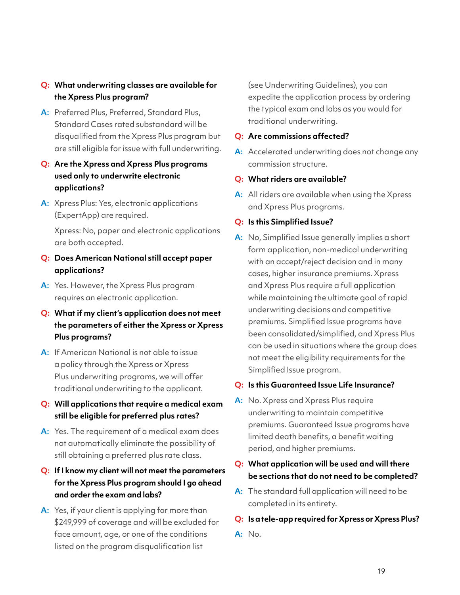#### **Q: What underwriting classes are available for the Xpress Plus program?**

**A:** Preferred Plus, Preferred, Standard Plus, Standard Cases rated substandard will be disqualified from the Xpress Plus program but are still eligible for issue with full underwriting.

#### **Q: Are the Xpress and Xpress Plus programs used only to underwrite electronic applications?**

**A:** Xpress Plus: Yes, electronic applications (ExpertApp) are required.

Xpress: No, paper and electronic applications are both accepted.

- **Q: Does American National still accept paper applications?**
- **A:** Yes. However, the Xpress Plus program requires an electronic application.
- **Q: What if my client's application does not meet the parameters of either the Xpress or Xpress Plus programs?**
- **A:** If American National is not able to issue a policy through the Xpress or Xpress Plus underwriting programs, we will offer traditional underwriting to the applicant.
- **Q: Will applications that require a medical exam still be eligible for preferred plus rates?**
- **A:** Yes. The requirement of a medical exam does not automatically eliminate the possibility of still obtaining a preferred plus rate class.
- **Q: If I know my client will not meet the parameters for the Xpress Plus program should I go ahead and order the exam and labs?**
- **A:** Yes, if your client is applying for more than \$249,999 of coverage and will be excluded for face amount, age, or one of the conditions listed on the program disqualification list

(see Underwriting Guidelines), you can expedite the application process by ordering the typical exam and labs as you would for traditional underwriting.

#### **Q: Are commissions affected?**

- **A:** Accelerated underwriting does not change any commission structure.
- **Q: What riders are available?**
- **A:** All riders are available when using the Xpress and Xpress Plus programs.

#### **Q: Is this Simplified Issue?**

**A:** No, Simplified Issue generally implies a short form application, non-medical underwriting with an accept/reject decision and in many cases, higher insurance premiums. Xpress and Xpress Plus require a full application while maintaining the ultimate goal of rapid underwriting decisions and competitive premiums. Simplified Issue programs have been consolidated/simplified, and Xpress Plus can be used in situations where the group does not meet the eligibility requirements for the Simplified Issue program.

#### **Q: Is this Guaranteed Issue Life Insurance?**

**A:** No. Xpress and Xpress Plus require underwriting to maintain competitive premiums. Guaranteed Issue programs have limited death benefits, a benefit waiting period, and higher premiums.

#### **Q: What application will be used and will there be sections that do not need to be completed?**

**A:** The standard full application will need to be completed in its entirety.

#### **Q: Is a tele-app required for Xpress or Xpress Plus?**

**A:** No.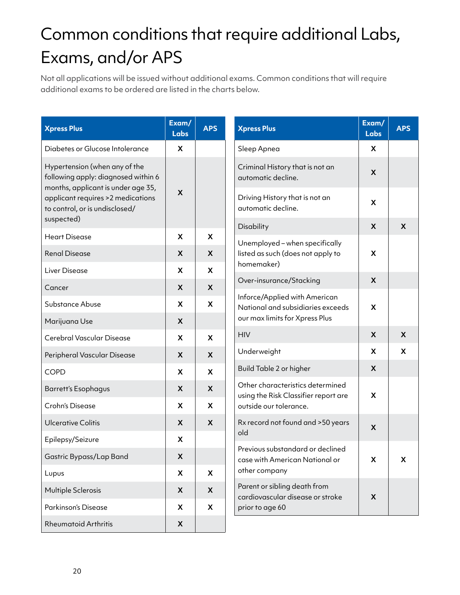# Common conditions that require additional Labs, Exams, and/or APS

Not all applications will be issued without additional exams. Common conditions that will require additional exams to be ordered are listed in the charts below.

| <b>Xpress Plus</b>                                                                                         | Exam/<br><b>Labs</b>      | <b>APS</b>           | <b>Xpress Plus</b>                                                 | Exam/<br><b>Labs</b>      | <b>APS</b> |
|------------------------------------------------------------------------------------------------------------|---------------------------|----------------------|--------------------------------------------------------------------|---------------------------|------------|
| Diabetes or Glucose Intolerance                                                                            | X                         |                      | Sleep Apnea                                                        | X                         |            |
| Hypertension (when any of the<br>following apply: diagnosed within 6<br>months, applicant is under age 35, |                           |                      | Criminal History that is not an<br>automatic decline.              | X                         |            |
| applicant requires > 2 medications<br>to control, or is undisclosed/                                       | $\mathsf{x}$              |                      | Driving History that is not an<br>automatic decline.               | X                         |            |
| suspected)<br><b>Heart Disease</b>                                                                         | X                         | X                    | Disability                                                         | X                         | X          |
|                                                                                                            |                           |                      | Unemployed - when specifically                                     |                           |            |
| <b>Renal Disease</b>                                                                                       | X                         | X                    | listed as such (does not apply to<br>homemaker)                    | X                         |            |
| Liver Disease                                                                                              | X                         | X                    | Over-insurance/Stacking                                            | X                         |            |
| Cancer                                                                                                     | X                         | X                    | Inforce/Applied with American                                      |                           |            |
| Substance Abuse                                                                                            | X                         | X                    | National and subsidiaries exceeds                                  | X                         |            |
| Marijuana Use                                                                                              | X                         |                      | our max limits for Xpress Plus                                     |                           |            |
| Cerebral Vascular Disease                                                                                  | X                         | X                    | <b>HIV</b>                                                         | X                         | X          |
| Peripheral Vascular Disease                                                                                | $\boldsymbol{\mathsf{X}}$ | X                    | Underweight                                                        | X                         | X          |
| <b>COPD</b>                                                                                                | X                         | X                    | Build Table 2 or higher                                            | X                         |            |
| <b>Barrett's Esophagus</b>                                                                                 | X                         | X                    | Other characteristics determined                                   | X                         |            |
| Crohn's Disease                                                                                            | X                         | X                    | using the Risk Classifier report are<br>outside our tolerance.     |                           |            |
| <b>Ulcerative Colitis</b>                                                                                  | X                         | X                    | Rx record not found and >50 years                                  | $\boldsymbol{\mathsf{X}}$ |            |
| Epilepsy/Seizure                                                                                           | X                         |                      | old                                                                |                           |            |
| Gastric Bypass/Lap Band                                                                                    | X                         |                      | Previous substandard or declined<br>case with American National or | X                         | X          |
| Lupus                                                                                                      | X                         | other company<br>X   |                                                                    |                           |            |
| Multiple Sclerosis                                                                                         | X                         | X                    | Parent or sibling death from<br>cardiovascular disease or stroke   | X                         |            |
| Parkinson's Disease                                                                                        | X                         | X<br>prior to age 60 |                                                                    |                           |            |
| <b>Rheumatoid Arthritis</b>                                                                                | $\boldsymbol{\mathsf{X}}$ |                      |                                                                    |                           |            |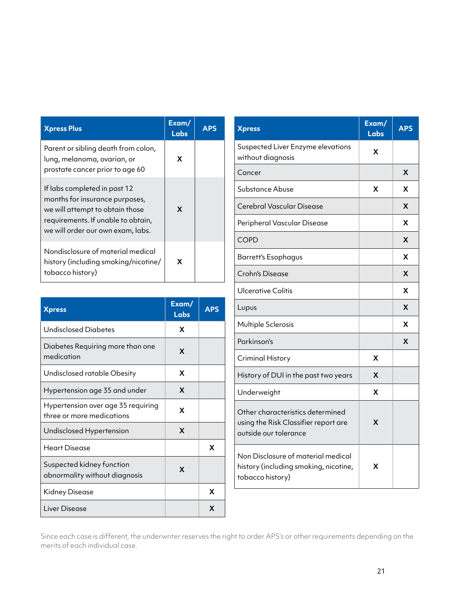| <b>Xpress Plus</b>                                                                                                                                                           | Exam/<br>Labs | <b>APS</b> |
|------------------------------------------------------------------------------------------------------------------------------------------------------------------------------|---------------|------------|
| Parent or sibling death from colon,<br>lung, melanoma, ovarian, or<br>prostate cancer prior to age 60                                                                        | X             |            |
| If labs completed in past 12<br>months for insurance purposes,<br>we will attempt to obtain those<br>requirements. If unable to obtain,<br>we will order our own exam, labs. | X             |            |
| Nondisclosure of material medical<br>history (including smoking/nicotine/<br>tobacco history)                                                                                | X             |            |

| <b>Xpress</b>                                                   | Exam/<br><b>Labs</b> | <b>APS</b> |
|-----------------------------------------------------------------|----------------------|------------|
| <b>Undisclosed Diabetes</b>                                     | X                    |            |
| Diabetes Requiring more than one<br>medication                  | X                    |            |
| Undisclosed ratable Obesity                                     | X                    |            |
| Hypertension age 35 and under                                   | X                    |            |
| Hypertension over age 35 requiring<br>three or more medications | x                    |            |
| Undisclosed Hypertension                                        | X                    |            |
| Heart Disease                                                   |                      | X          |
| Suspected kidney function<br>abnormality without diagnosis      | X                    |            |
| Kidney Disease                                                  |                      | X          |
| Liver Disease                                                   |                      | X          |

| <b>Xpress</b>                                                                                     | Exam/<br><b>Labs</b> | <b>APS</b> |
|---------------------------------------------------------------------------------------------------|----------------------|------------|
| Suspected Liver Enzyme elevations<br>without diagnosis                                            | X                    |            |
| Cancer                                                                                            |                      | X          |
| Substance Abuse                                                                                   | X                    | X          |
| Cerebral Vascular Disease                                                                         |                      | X          |
| Peripheral Vascular Disease                                                                       |                      | X          |
| <b>COPD</b>                                                                                       |                      | X          |
| <b>Barrett's Esophagus</b>                                                                        |                      | X          |
| <b>Crohn's Disease</b>                                                                            |                      | X          |
| Ulcerative Colitis                                                                                |                      | X          |
| Lupus                                                                                             |                      | X          |
| Multiple Sclerosis                                                                                |                      | X          |
| Parkinson's                                                                                       |                      | X          |
| <b>Criminal History</b>                                                                           | X                    |            |
| History of DUI in the past two years                                                              | X                    |            |
| Underweight                                                                                       | X                    |            |
| Other characteristics determined<br>using the Risk Classifier report are<br>outside our tolerance | X                    |            |
| Non Disclosure of material medical<br>history (including smoking, nicotine,<br>tobacco history)   | X                    |            |

Since each case is different, the underwriter reserves the right to order APS's or other requirements depending on the merits of each individual case.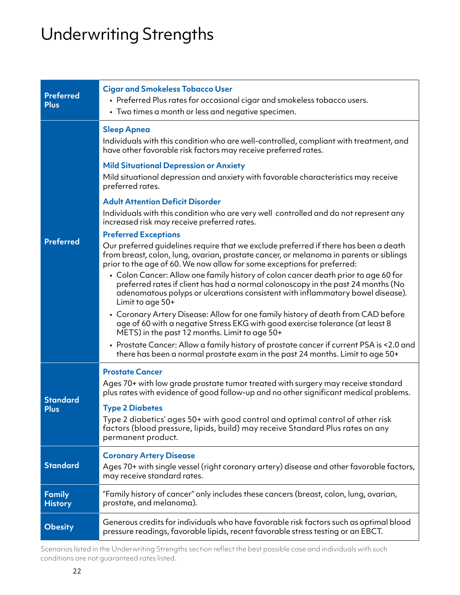# Underwriting Strengths

| <b>Preferred</b><br><b>Plus</b> | <b>Cigar and Smokeless Tobacco User</b><br>• Preferred Plus rates for occasional cigar and smokeless tobacco users.<br>• Two times a month or less and negative specimen.                                                                                                                |
|---------------------------------|------------------------------------------------------------------------------------------------------------------------------------------------------------------------------------------------------------------------------------------------------------------------------------------|
|                                 | <b>Sleep Apnea</b><br>Individuals with this condition who are well-controlled, compliant with treatment, and<br>have other favorable risk factors may receive preferred rates.                                                                                                           |
|                                 | <b>Mild Situational Depression or Anxiety</b><br>Mild situational depression and anxiety with favorable characteristics may receive<br>preferred rates.                                                                                                                                  |
|                                 | <b>Adult Attention Deficit Disorder</b><br>Individuals with this condition who are very well controlled and do not represent any<br>increased risk may receive preferred rates.                                                                                                          |
| <b>Preferred</b>                | <b>Preferred Exceptions</b><br>Our preferred guidelines require that we exclude preferred if there has been a death<br>from breast, colon, lung, ovarian, prostate cancer, or melanoma in parents or siblings<br>prior to the age of 60. We now allow for some exceptions for preferred: |
|                                 | • Colon Cancer: Allow one family history of colon cancer death prior to age 60 for<br>preferred rates if client has had a normal colonoscopy in the past 24 months (No<br>adenomatous polyps or ulcerations consistent with inflammatory bowel disease).<br>Limit to age 50+             |
|                                 | • Coronary Artery Disease: Allow for one family history of death from CAD before<br>age of 60 with a negative Stress EKG with good exercise tolerance (at least 8<br>METS) in the past 12 months. Limit to age 50+                                                                       |
|                                 | • Prostate Cancer: Allow a family history of prostate cancer if current PSA is <2.0 and<br>there has been a normal prostate exam in the past 24 months. Limit to age 50+                                                                                                                 |
| <b>Standard</b>                 | <b>Prostate Cancer</b><br>Ages 70+ with low grade prostate tumor treated with surgery may receive standard<br>plus rates with evidence of good follow-up and no other significant medical problems.                                                                                      |
| <b>Plus</b>                     | <b>Type 2 Diabetes</b><br>Type 2 diabetics' ages 50+ with good control and optimal control of other risk<br>factors (blood pressure, lipids, build) may receive Standard Plus rates on any<br>permanent product.                                                                         |
| <b>Standard</b>                 | <b>Coronary Artery Disease</b><br>Ages 70+ with single vessel (right coronary artery) disease and other favorable factors,<br>may receive standard rates.                                                                                                                                |
| <b>Family</b><br><b>History</b> | "Family history of cancer" only includes these cancers (breast, colon, lung, ovarian,<br>prostate, and melanoma).                                                                                                                                                                        |
| <b>Obesity</b>                  | Generous credits for individuals who have favorable risk factors such as optimal blood<br>pressure readings, favorable lipids, recent favorable stress testing or an EBCT.                                                                                                               |

Scenarios listed in the Underwriting Strengths section reflect the best possible case and individuals with such conditions are not guaranteed rates listed.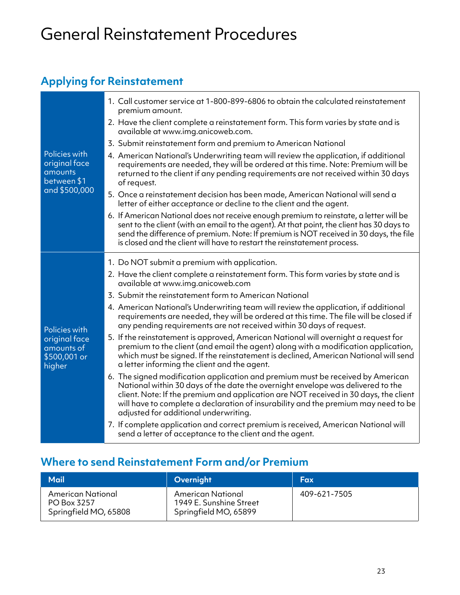## General Reinstatement Procedures

### **Applying for Reinstatement**

|                                                          | 1. Call customer service at 1-800-899-6806 to obtain the calculated reinstatement<br>premium amount.                                                                                                                                                                                                                                                                                      |
|----------------------------------------------------------|-------------------------------------------------------------------------------------------------------------------------------------------------------------------------------------------------------------------------------------------------------------------------------------------------------------------------------------------------------------------------------------------|
|                                                          | 2. Have the client complete a reinstatement form. This form varies by state and is<br>available at www.img.anicoweb.com.                                                                                                                                                                                                                                                                  |
|                                                          | 3. Submit reinstatement form and premium to American National                                                                                                                                                                                                                                                                                                                             |
| Policies with<br>original face<br>amounts<br>between \$1 | 4. American National's Underwriting team will review the application, if additional<br>requirements are needed, they will be ordered at this time. Note: Premium will be<br>returned to the client if any pending requirements are not received within 30 days<br>of request.                                                                                                             |
| and \$500,000                                            | 5. Once a reinstatement decision has been made, American National will send a<br>letter of either acceptance or decline to the client and the agent.                                                                                                                                                                                                                                      |
|                                                          | 6. If American National does not receive enough premium to reinstate, a letter will be<br>sent to the client (with an email to the agent). At that point, the client has 30 days to<br>send the difference of premium. Note: If premium is NOT received in 30 days, the file<br>is closed and the client will have to restart the reinstatement process.                                  |
|                                                          | 1. Do NOT submit a premium with application.                                                                                                                                                                                                                                                                                                                                              |
|                                                          | 2. Have the client complete a reinstatement form. This form varies by state and is<br>available at www.img.anicoweb.com                                                                                                                                                                                                                                                                   |
|                                                          | 3. Submit the reinstatement form to American National                                                                                                                                                                                                                                                                                                                                     |
| Policies with                                            | 4. American National's Underwriting team will review the application, if additional<br>requirements are needed, they will be ordered at this time. The file will be closed if<br>any pending requirements are not received within 30 days of request.                                                                                                                                     |
| original face<br>amounts of<br>\$500,001 or<br>higher    | 5. If the reinstatement is approved, American National will overnight a request for<br>premium to the client (and email the agent) along with a modification application,<br>which must be signed. If the reinstatement is declined, American National will send<br>a letter informing the client and the agent.                                                                          |
|                                                          | 6. The signed modification application and premium must be received by American<br>National within 30 days of the date the overnight envelope was delivered to the<br>client. Note: If the premium and application are NOT received in 30 days, the client<br>will have to complete a declaration of insurability and the premium may need to be<br>adjusted for additional underwriting. |
|                                                          | 7. If complete application and correct premium is received, American National will<br>send a letter of acceptance to the client and the agent.                                                                                                                                                                                                                                            |

### **Where to send Reinstatement Form and/or Premium**

| Mail                                                      | Overnight                                                             | Fax          |
|-----------------------------------------------------------|-----------------------------------------------------------------------|--------------|
| American National<br>PO Box 3257<br>Springfield MO, 65808 | American National<br>1949 E. Sunshine Street<br>Springfield MO, 65899 | 409-621-7505 |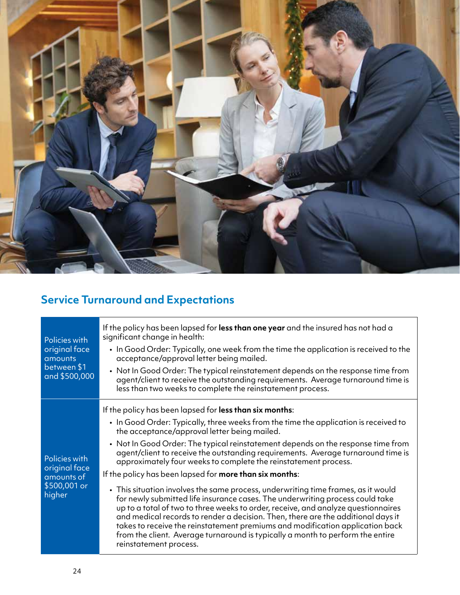

### **Service Turnaround and Expectations**

| Policies with<br>original face<br>amounts<br>between \$1<br>and \$500,000 | If the policy has been lapsed for <b>less than one year</b> and the insured has not had a<br>significant change in health:<br>. In Good Order: Typically, one week from the time the application is received to the<br>acceptance/approval letter being mailed.<br>• Not In Good Order: The typical reinstatement depends on the response time from<br>agent/client to receive the outstanding requirements. Average turnaround time is<br>less than two weeks to complete the reinstatement process.                                                                                                                                                                                                                                                                                                                                                                                                                                                                                                                                                     |
|---------------------------------------------------------------------------|-----------------------------------------------------------------------------------------------------------------------------------------------------------------------------------------------------------------------------------------------------------------------------------------------------------------------------------------------------------------------------------------------------------------------------------------------------------------------------------------------------------------------------------------------------------------------------------------------------------------------------------------------------------------------------------------------------------------------------------------------------------------------------------------------------------------------------------------------------------------------------------------------------------------------------------------------------------------------------------------------------------------------------------------------------------|
| Policies with<br>original face<br>amounts of<br>\$500,001 or<br>higher    | If the policy has been lapsed for less than six months:<br>. In Good Order: Typically, three weeks from the time the application is received to<br>the acceptance/approval letter being mailed.<br>• Not In Good Order: The typical reinstatement depends on the response time from<br>agent/client to receive the outstanding requirements. Average turnaround time is<br>approximately four weeks to complete the reinstatement process.<br>If the policy has been lapsed for <b>more than six months</b> :<br>• This situation involves the same process, underwriting time frames, as it would<br>for newly submitted life insurance cases. The underwriting process could take<br>up to a total of two to three weeks to order, receive, and analyze questionnaires<br>and medical records to render a decision. Then, there are the additional days it<br>takes to receive the reinstatement premiums and modification application back<br>from the client. Average turnaround is typically a month to perform the entire<br>reinstatement process. |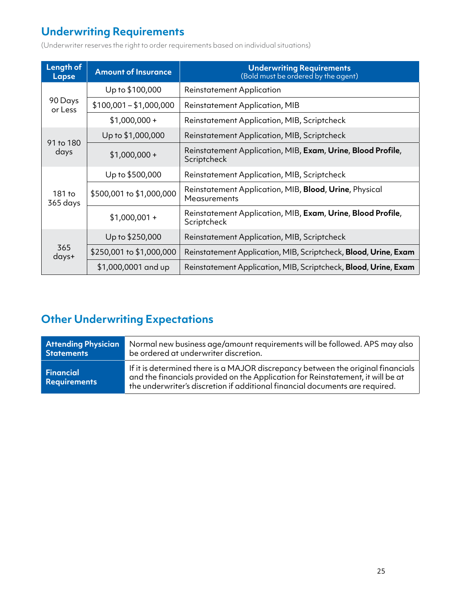### **Underwriting Requirements**

(Underwriter reserves the right to order requirements based on individual situations)

| Length of<br>Lapse | <b>Amount of Insurance</b> | <b>Underwriting Requirements</b><br>(Bold must be ordered by the agent)    |  |
|--------------------|----------------------------|----------------------------------------------------------------------------|--|
|                    | Up to \$100,000            | <b>Reinstatement Application</b>                                           |  |
| 90 Days<br>or Less | $$100,001 - $1,000,000$    | <b>Reinstatement Application, MIB</b>                                      |  |
|                    | $$1,000,000+$              | Reinstatement Application, MIB, Scriptcheck                                |  |
|                    | Up to \$1,000,000          | Reinstatement Application, MIB, Scriptcheck                                |  |
| 91 to 180<br>days  | $$1,000,000+$              | Reinstatement Application, MIB, Exam, Urine, Blood Profile,<br>Scriptcheck |  |
|                    | Up to \$500,000            | Reinstatement Application, MIB, Scriptcheck                                |  |
| 181 to<br>365 days | \$500,001 to \$1,000,000   | Reinstatement Application, MIB, Blood, Urine, Physical<br>Measurements     |  |
|                    | $$1,000,001 +$             | Reinstatement Application, MIB, Exam, Urine, Blood Profile,<br>Scriptcheck |  |
| 365<br>days+       | Up to \$250,000            | Reinstatement Application, MIB, Scriptcheck                                |  |
|                    | \$250,001 to \$1,000,000   | Reinstatement Application, MIB, Scriptcheck, Blood, Urine, Exam            |  |
|                    | $$1,000,0001$ and up       | Reinstatement Application, MIB, Scriptcheck, Blood, Urine, Exam            |  |

### **Other Underwriting Expectations**

| <b>Attending Physician</b>              | Normal new business age/amount requirements will be followed. APS may also                                                                                                                                                                          |
|-----------------------------------------|-----------------------------------------------------------------------------------------------------------------------------------------------------------------------------------------------------------------------------------------------------|
| <b>Statements</b>                       | be ordered at underwriter discretion.                                                                                                                                                                                                               |
| <b>Financial</b><br><b>Requirements</b> | If it is determined there is a MAJOR discrepancy between the original financials<br>and the financials provided on the Application for Reinstatement, it will be at<br>the underwriter's discretion if additional financial documents are required. |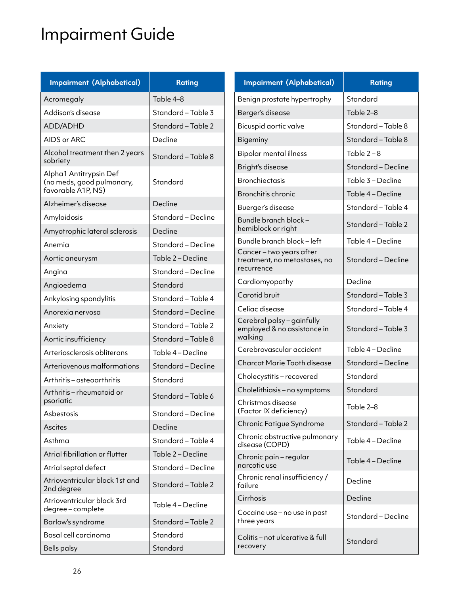# Impairment Guide

| <b>Impairment (Alphabetical)</b>                | <b>Rating</b>                                            | <b>Impairment (Alphabetical)</b>                          | <b>Rating</b>                          |
|-------------------------------------------------|----------------------------------------------------------|-----------------------------------------------------------|----------------------------------------|
| Acromegaly                                      | Table 4-8<br>Benign prostate hypertrophy                 |                                                           | Standard                               |
| Addison's disease                               | Standard - Table 3                                       | Berger's disease                                          | Table 2-8                              |
| ADD/ADHD                                        | Standard - Table 2                                       | Bicuspid aortic valve                                     | Standard - Table 8                     |
| AIDS or ARC                                     | Decline<br>Bigeminy                                      |                                                           | Standard - Table 8                     |
| Alcohol treatment then 2 years<br>sobriety      | <b>Bipolar mental illness</b><br>Standard - Table 8      |                                                           | Table $2 - 8$                          |
| Alpha1 Antitrypsin Def                          |                                                          | Bright's disease                                          | Standard - Decline                     |
| (no meds, good pulmonary,<br>favorable A1P, NS) | Standard                                                 | <b>Bronchiectasis</b><br>Bronchitis chronic               | Table 3 - Decline<br>Table 4 - Decline |
| Alzheimer's disease                             | Decline                                                  |                                                           | Standard - Table 4                     |
| Amyloidosis                                     | Standard - Decline                                       | Buerger's disease<br>Bundle branch block-                 |                                        |
| Amyotrophic lateral sclerosis                   | Decline                                                  | hemiblock or right                                        | Standard - Table 2                     |
| Anemia                                          | Standard - Decline                                       | Bundle branch block-left                                  | Table 4 - Decline                      |
| Aortic aneurysm                                 | Table 2 - Decline                                        | Cancer-two years after<br>treatment, no metastases, no    | Standard - Decline                     |
| Angina                                          | Standard - Decline                                       | recurrence                                                |                                        |
| Angioedema                                      | Standard                                                 | Cardiomyopathy                                            | Decline                                |
| Ankylosing spondylitis                          | Carotid bruit<br>Standard - Table 4                      |                                                           | Standard - Table 3                     |
| Anorexia nervosa                                | Celiac disease<br>Standard-Decline                       |                                                           | Standard - Table 4                     |
| Anxiety                                         | Standard - Table 2                                       | Cerebral palsy - gainfully<br>employed & no assistance in | Standard - Table 3                     |
| Aortic insufficiency                            | walking<br>Standard - Table 8                            |                                                           |                                        |
| Arteriosclerosis obliterans                     | Table 4 - Decline                                        | Cerebrovascular accident                                  | Table 4 - Decline                      |
| Arteriovenous malformations                     | <b>Charcot Marie Tooth disease</b><br>Standard - Decline |                                                           | Standard - Decline<br>Standard         |
| Arthritis – osteoarthritis                      | Standard                                                 | Cholecystitis-recovered                                   |                                        |
| Arthritis-rheumatoid or<br>psoriatic            | Standard - Table 6                                       | Standard<br>Cholelithiasis - no symptoms                  |                                        |
| Asbestosis                                      | Standard - Decline                                       | Christmas disease<br>(Factor IX deficiency)               | Table 2-8                              |
| Ascites                                         | Decline                                                  | Chronic Fatigue Syndrome                                  | Standard - Table 2                     |
| Asthma                                          | Standard - Table 4                                       | Chronic obstructive pulmonary<br>disease (COPD)           | Table 4 - Decline                      |
| Atrial fibrillation or flutter                  | Table 2 - Decline                                        | Chronic pain - regular                                    |                                        |
| Atrial septal defect                            | Standard - Decline                                       | narcotic use                                              | Table 4 - Decline                      |
| Atrioventricular block 1st and<br>2nd degree    | Standard - Table 2                                       | Chronic renal insufficiency /<br>failure                  | Decline                                |
| Atrioventricular block 3rd<br>degree-complete   | Cirrhosis<br>Table 4 - Decline                           |                                                           | Decline                                |
| Barlow's syndrome                               | Standard - Table 2                                       | Cocaine use - no use in past<br>three years               | Standard - Decline                     |
| Basal cell carcinoma                            | Standard                                                 | Colitis - not ulcerative & full                           | Standard                               |
| <b>Bells palsy</b>                              | Standard                                                 | recovery                                                  |                                        |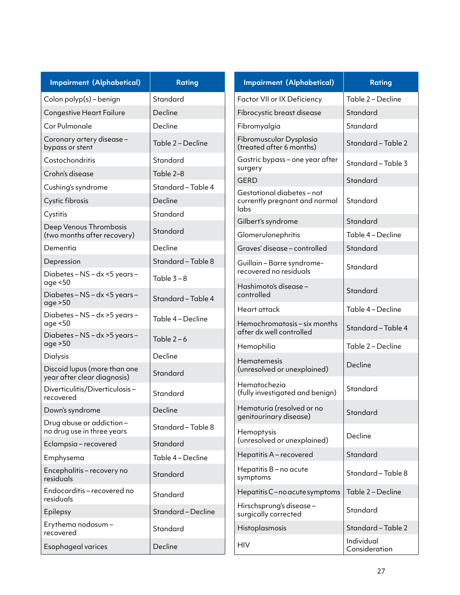| <b>Impairment (Alphabetical)</b>                            | <b>Rating</b>           |                               | <b>Impairment (Alphabetical)</b>                     | <b>Rating</b>               |
|-------------------------------------------------------------|-------------------------|-------------------------------|------------------------------------------------------|-----------------------------|
| Colon polyp(s) - benign                                     | Standard                |                               | Factor VII or IX Deficiency                          | Table 2 - Decline           |
| <b>Congestive Heart Failure</b>                             | Decline                 |                               | Fibrocystic breast disease                           | Standard                    |
| Cor Pulmonale                                               | Decline<br>Fibromyalgia |                               | Standard                                             |                             |
| Coronary artery disease -<br>bypass or stent                | Table 2 - Decline       |                               | Fibromuscular Dysplasia<br>(treated after 6 months)  | Standard - Table 2          |
| Costochondritis                                             | Standard                |                               | Gastric bypass - one year after                      | Standard - Table 3          |
| Crohn's disease                                             | Table 2-8               | surgery                       |                                                      | Standard                    |
| Cushing's syndrome                                          | Standard - Table 4      |                               | <b>GERD</b><br>Gestational diabetes-not              |                             |
| Cystic fibrosis                                             | Decline                 |                               | currently pregnant and normal                        | Standard                    |
| Cystitis                                                    | Standard                |                               | labs                                                 |                             |
| Deep Venous Thrombosis                                      | Standard                |                               | Gilbert's syndrome                                   | Standard                    |
| (two months after recovery)                                 |                         |                               | Glomerulonephritis                                   | Table 4 - Decline           |
| Dementia                                                    | Decline                 |                               | Graves' disease - controlled                         | Standard                    |
| Depression                                                  | Standard - Table 8      |                               | Guillain - Barre syndrome-<br>recovered no residuals | Standard                    |
| Diabetes - NS - dx <5 years -<br>age <50                    | Table $3 - 8$           |                               | Hashimoto's disease-                                 |                             |
| Diabetes - NS - dx <5 years -<br>age > 50                   | Standard - Table 4      |                               | controlled                                           | Standard                    |
| Diabetes - NS - dx > 5 years -<br>age <50                   | Table 4 - Decline       |                               | Heart attack<br>Hemochromatosis - six months         | Table 4 - Decline           |
| Diabetes - NS - dx > 5 years -<br>age > 50                  | Table $2-6$             |                               | after dx well controlled                             | Standard - Table 4          |
| <b>Dialysis</b>                                             | Decline                 |                               | Hemophilia                                           | Table 2 - Decline           |
| Discoid lupus (more than one<br>year after clear diagnosis) | Standard                |                               | <b>Hematemesis</b><br>(unresolved or unexplained)    | Decline                     |
| Diverticulitis/Diverticulosis-<br>recovered                 | Standard                |                               | Hematochezia<br>(fully investigated and benign)      | Standard                    |
| Down's syndrome                                             | Decline                 |                               | Hematuria (resolved or no                            |                             |
| Drug abuse or addiction-                                    |                         |                               | genitourinary disease)                               | Standard                    |
| no drug use in three years                                  | Standard - Table 8      |                               | Hemoptysis                                           | Decline                     |
| Eclampsia-recovered                                         | Standard                |                               | (unresolved or unexplained)                          |                             |
| Emphysema                                                   | Table 4 - Decline       |                               | Hepatitis A - recovered                              | Standard                    |
| Encephalitis - recovery no<br>residuals                     | Standard                |                               | Hepatitis B - no acute<br>symptoms                   | Standard - Table 8          |
| Endocarditis - recovered no<br>residuals                    | Standard                | Hepatitis C-no acute symptoms |                                                      | Table 2 - Decline           |
| Epilepsy                                                    | Standard - Decline      |                               | Hirschsprung's disease-<br>surgically corrected      | Standard                    |
| Erythema nodosum-<br>recovered                              | Standard                |                               | Histoplasmosis                                       | Standard - Table 2          |
| Esophageal varices                                          | Decline                 | <b>HIV</b>                    |                                                      | Individual<br>Consideration |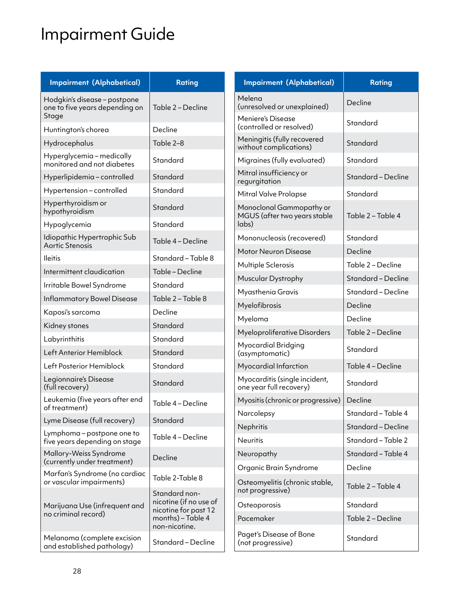# Impairment Guide

| <b>Impairment (Alphabetical)</b>                               | <b>Rating</b>                                                                        | <b>Impairment (Alphabetical)</b>                          | <b>Rating</b>                 |
|----------------------------------------------------------------|--------------------------------------------------------------------------------------|-----------------------------------------------------------|-------------------------------|
| Hodgkin's disease - postpone<br>one to five years depending on | Table 2 - Decline                                                                    | Melena<br>(unresolved or unexplained)                     | Decline                       |
| Stage<br>Huntington's chorea                                   | Decline                                                                              | Meniere's Disease<br>Standard<br>(controlled or resolved) |                               |
| Hydrocephalus                                                  | Table 2-8                                                                            | Meningitis (fully recovered<br>without complications)     | Standard                      |
| Hyperglycemia-medically<br>monitored and not diabetes          | Standard                                                                             | Migraines (fully evaluated)                               | Standard                      |
| Hyperlipidemia-controlled                                      | Standard                                                                             | Mitral insufficiency or<br>regurgitation                  | Standard - Decline            |
| Hypertension - controlled                                      | Standard                                                                             | Mitral Valve Prolapse                                     | Standard                      |
| Hyperthyroidism or<br>hypothyroidism                           | Standard                                                                             | Monoclonal Gammopathy or<br>MGUS (after two years stable  | Table 2 - Table 4             |
| Hypoglycemia                                                   | Standard                                                                             | labs)                                                     |                               |
| Idiopathic Hypertrophic Sub<br>Aortic Stenosis                 | Table 4 - Decline                                                                    | Mononucleosis (recovered)                                 | Standard                      |
| <b>Ileitis</b>                                                 | Standard - Table 8                                                                   | Motor Neuron Disease                                      | Decline                       |
| Intermittent claudication                                      | Table - Decline                                                                      | Multiple Sclerosis                                        | Table 2 - Decline             |
| Irritable Bowel Syndrome                                       | Muscular Dystrophy<br>Standard<br>Myasthenia Gravis<br>Table 2 - Table 8             |                                                           | Standard - Decline            |
|                                                                |                                                                                      |                                                           | Standard - Decline            |
| Inflammatory Bowel Disease                                     | Decline                                                                              | Myelofibrosis                                             | Decline                       |
| Kaposi's sarcoma                                               |                                                                                      | Myeloma                                                   | Decline                       |
| Kidney stones                                                  | Standard                                                                             | Myeloproliferative Disorders                              | Table 2 - Decline             |
| Labyrinthitis<br>Left Anterior Hemiblock                       | Standard<br>Standard                                                                 | <b>Myocardial Bridging</b>                                | Standard                      |
| Left Posterior Hemiblock                                       | Standard                                                                             | (asymptomatic)                                            | Table 4 - Decline             |
| Legionnaire's Disease                                          |                                                                                      | Myocardial Infarction<br>Myocarditis (single incident,    |                               |
| (full recovery)                                                | Standard                                                                             | one year full recovery)                                   | Standard                      |
| Leukemia (five years after end<br>of treatment)                | Table 4 - Decline                                                                    | Myositis (chronic or progressive)                         | Decline                       |
| Lyme Disease (full recovery)                                   | Standard                                                                             | Narcolepsy                                                | Standard - Table 4            |
| Lymphoma – postpone one to                                     |                                                                                      | Nephritis                                                 | Standard - Decline            |
| five years depending on stage                                  | Table 4 - Decline                                                                    | <b>Neuritis</b>                                           | Standard - Table 2            |
| Mallory-Weiss Syndrome<br>(currently under treatment)          | Decline                                                                              | Neuropathy                                                | Standard - Table 4<br>Decline |
| Marfan's Syndrome (no cardiac<br>or vascular impairments)      | Table 2-Table 8                                                                      | Organic Brain Syndrome<br>Osteomyelitis (chronic stable,  |                               |
|                                                                | Standard non-                                                                        | not progressive)                                          | Table 2 - Table 4             |
| Marijuana Use (infrequent and                                  | nicotine (if no use of<br>nicotine for past 12<br>months) - Table 4<br>non-nicotine. | Osteoporosis                                              | Standard                      |
| no criminal record)                                            |                                                                                      | Pacemaker                                                 | Table 2 - Decline             |
| Melanoma (complete excision<br>and established pathology)      | Standard - Decline                                                                   | Paget's Disease of Bone<br>(not progressive)              | Standard                      |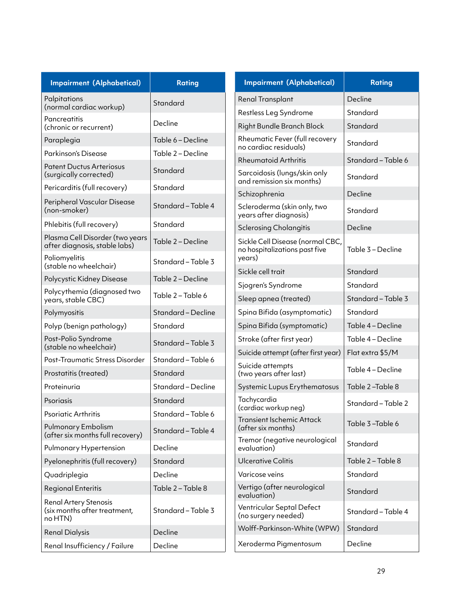| <b>Impairment (Alphabetical)</b>                                        | <b>Impairment (Alphabetical)</b><br><b>Rating</b>                      |             | <b>Rating</b>                                                     |                    |
|-------------------------------------------------------------------------|------------------------------------------------------------------------|-------------|-------------------------------------------------------------------|--------------------|
| Palpitations                                                            | Renal Transplant<br>Standard                                           |             | Decline                                                           |                    |
| (normal cardiac workup)                                                 |                                                                        |             | Restless Leg Syndrome                                             | Standard           |
| Pancreatitis<br>(chronic or recurrent)                                  | Decline<br>Right Bundle Branch Block                                   |             | Standard                                                          |                    |
| Paraplegia                                                              | Table 6 - Decline                                                      |             | Rheumatic Fever (full recovery<br>no cardiac residuals)           | Standard           |
| Parkinson's Disease                                                     | Table 2 - Decline                                                      |             | <b>Rheumatoid Arthritis</b>                                       | Standard - Table 6 |
| <b>Patent Ductus Arteriosus</b><br>(surgically corrected)               | Standard<br>Sarcoidosis (lungs/skin only<br>and remission six months)  |             | Standard                                                          |                    |
| Pericarditis (full recovery)                                            | Standard                                                               |             | Schizophrenia                                                     | Decline            |
| Peripheral Vascular Disease<br>(non-smoker)                             | Standard - Table 4                                                     |             | Scleroderma (skin only, two<br>years after diagnosis)             | Standard           |
| Phlebitis (full recovery)                                               | Standard                                                               |             | <b>Sclerosing Cholangitis</b>                                     | Decline            |
| Plasma Cell Disorder (two years<br>after diagnosis, stable labs)        | Table 2 – Decline                                                      |             | Sickle Cell Disease (normal CBC,<br>no hospitalizations past five | Table 3 - Decline  |
| Poliomyelitis<br>(stable no wheelchair)                                 | Standard - Table 3                                                     | years)      |                                                                   |                    |
| Polycystic Kidney Disease                                               | Sickle cell trait<br>Table 2 – Decline                                 |             | Standard                                                          |                    |
| Polycythemia (diagnosed two<br>years, stable CBC)                       | Sjogren's Syndrome<br>Table 2 – Table 6<br>Sleep apnea (treated)       |             | Standard<br>Standard - Table 3                                    |                    |
| Polymyositis                                                            | Standard - Decline<br>Spina Bifida (asymptomatic)                      |             | Standard                                                          |                    |
| Polyp (benign pathology)                                                | Standard                                                               |             | Spina Bifida (symptomatic)                                        | Table 4 - Decline  |
| Post-Polio Syndrome<br>(stable no wheelchair)                           | Standard - Table 3                                                     |             | Stroke (after first year)                                         | Table 4 - Decline  |
| Post-Traumatic Stress Disorder                                          | Standard - Table 6                                                     |             | Suicide attempt (after first year)                                | Flat extra \$5/M   |
| Prostatitis (treated)                                                   | Suicide attempts<br>Standard<br>(two years after last)                 |             |                                                                   | Table 4 - Decline  |
| Proteinuria                                                             | Standard - Decline                                                     |             | Systemic Lupus Erythematosus                                      | Table 2-Table 8    |
| Psoriasis                                                               | Standard                                                               | Tachycardia | (cardiac workup neg)                                              | Standard - Table 2 |
| Psoriatic Arthritis                                                     | Standard - Table 6                                                     |             | <b>Transient Ischemic Attack</b>                                  |                    |
| Pulmonary Embolism<br>(after six months full recovery)                  | Standard - Table 4                                                     |             | (after six months)<br>Tremor (negative neurological               | Table 3-Table 6    |
| Pulmonary Hypertension                                                  | Decline                                                                | evaluation) |                                                                   | Standard           |
| Pyelonephritis (full recovery)                                          | Standard                                                               |             | <b>Ulcerative Colitis</b>                                         | Table 2 - Table 8  |
| Quadriplegia                                                            | Decline                                                                |             | Varicose veins                                                    | Standard           |
| <b>Regional Enteritis</b>                                               | Vertigo (after neurological<br>Table 2 - Table 8<br>evaluation)        |             | Standard                                                          |                    |
| <b>Renal Artery Stenosis</b><br>(six months after treatment,<br>no HTN) | Ventricular Septal Defect<br>Standard - Table 3<br>(no surgery needed) |             | Standard - Table 4                                                |                    |
| <b>Renal Dialysis</b>                                                   | Wolff-Parkinson-White (WPW)<br>Decline                                 |             | Standard                                                          |                    |
| Renal Insufficiency / Failure                                           | Decline                                                                |             | Xeroderma Pigmentosum                                             | Decline            |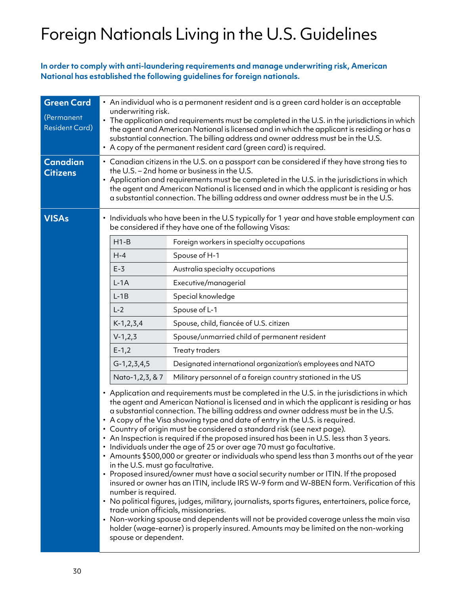# Foreign Nationals Living in the U.S. Guidelines

**In order to comply with anti-laundering requirements and manage underwriting risk, American National has established the following guidelines for foreign nationals.**

| <b>Green Card</b><br>(Permanent<br><b>Resident Card)</b> | • An individual who is a permanent resident and is a green card holder is an acceptable<br>underwriting risk.<br>• The application and requirements must be completed in the U.S. in the jurisdictions in which<br>the agent and American National is licensed and in which the applicant is residing or has a<br>substantial connection. The billing address and owner address must be in the U.S.                                                                                                                                                                                                                                                                                                                                                                                                                                                                                                                                                                                                                                                                                                                                                                                                                                                                                                                                                                                                                                                                                                                                                                 |  |  |  |
|----------------------------------------------------------|---------------------------------------------------------------------------------------------------------------------------------------------------------------------------------------------------------------------------------------------------------------------------------------------------------------------------------------------------------------------------------------------------------------------------------------------------------------------------------------------------------------------------------------------------------------------------------------------------------------------------------------------------------------------------------------------------------------------------------------------------------------------------------------------------------------------------------------------------------------------------------------------------------------------------------------------------------------------------------------------------------------------------------------------------------------------------------------------------------------------------------------------------------------------------------------------------------------------------------------------------------------------------------------------------------------------------------------------------------------------------------------------------------------------------------------------------------------------------------------------------------------------------------------------------------------------|--|--|--|
| <b>Canadian</b><br><b>Citizens</b>                       | • A copy of the permanent resident card (green card) is required.<br>• Canadian citizens in the U.S. on a passport can be considered if they have strong ties to<br>the U.S. - 2nd home or business in the U.S.<br>• Application and requirements must be completed in the U.S. in the jurisdictions in which<br>the agent and American National is licensed and in which the applicant is residing or has<br>a substantial connection. The billing address and owner address must be in the U.S.                                                                                                                                                                                                                                                                                                                                                                                                                                                                                                                                                                                                                                                                                                                                                                                                                                                                                                                                                                                                                                                                   |  |  |  |
| <b>VISAs</b>                                             | Individuals who have been in the U.S typically for 1 year and have stable employment can<br>$\bullet$<br>be considered if they have one of the following Visas:<br>$H1-B$<br>Foreign workers in specialty occupations<br>$H-4$<br>Spouse of H-1<br>$E-3$<br>Australia specialty occupations<br>$L-1A$<br>Executive/managerial<br>$L-1B$<br>Special knowledge<br>$L-2$<br>Spouse of L-1<br>Spouse, child, fiancée of U.S. citizen<br>$K-1, 2, 3, 4$<br>$V-1, 2, 3$<br>Spouse/unmarried child of permanent resident<br>$E-1,2$<br><b>Treaty traders</b><br>$G-1, 2, 3, 4, 5$<br>Designated international organization's employees and NATO<br>Military personnel of a foreign country stationed in the US<br>Nato-1,2,3, & 7<br>• Application and requirements must be completed in the U.S. in the jurisdictions in which<br>the agent and American National is licensed and in which the applicant is residing or has<br>a substantial connection. The billing address and owner address must be in the U.S.<br>• A copy of the Visa showing type and date of entry in the U.S. is required.<br>• Country of origin must be considered a standard risk (see next page).<br>• An Inspection is required if the proposed insured has been in U.S. less than 3 years.<br>Individuals under the age of 25 or over age 70 must go facultative.<br>• Amounts \$500,000 or greater or individuals who spend less than 3 months out of the year<br>in the U.S. must go facultative.<br>• Proposed insured/owner must have a social security number or ITIN. If the proposed |  |  |  |
|                                                          | number is required.<br>. No political figures, judges, military, journalists, sports figures, entertainers, police force,<br>trade union officials, missionaries.<br>• Non-working spouse and dependents will not be provided coverage unless the main visa<br>holder (wage-earner) is properly insured. Amounts may be limited on the non-working<br>spouse or dependent.                                                                                                                                                                                                                                                                                                                                                                                                                                                                                                                                                                                                                                                                                                                                                                                                                                                                                                                                                                                                                                                                                                                                                                                          |  |  |  |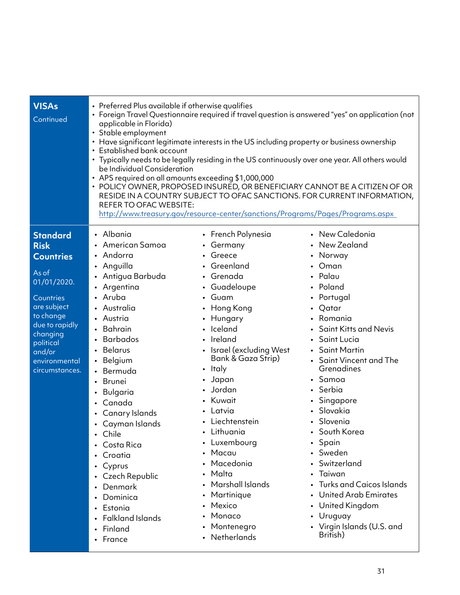| <b>VISAs</b><br>Continued                                                                                                                                                                                   | • Preferred Plus available if otherwise qualifies<br>· Foreign Travel Questionnaire required if travel question is answered "yes" on application (not<br>applicable in Florida)<br>• Stable employment<br>• Have significant legitimate interests in the US including property or business ownership<br>• Established bank account<br>• Typically needs to be legally residing in the US continuously over one year. All others would<br>be Individual Consideration<br>• APS required on all amounts exceeding \$1,000,000<br>• POLICY OWNER, PROPOSED INSURED, OR BENEFICIARY CANNOT BE A CITIZEN OF OR<br>RESIDE IN A COUNTRY SUBJECT TO OFAC SANCTIONS. FOR CURRENT INFORMATION,<br>REFER TO OFAC WEBSITE:<br>http://www.treasury.gov/resource-center/sanctions/Programs/Pages/Programs.aspx |                                                                                                                                                                                                                                                                                                                                                                                                                                         |                                                                                                                                                                                                                                                                                                                                                                                                                                                                                                       |  |
|-------------------------------------------------------------------------------------------------------------------------------------------------------------------------------------------------------------|--------------------------------------------------------------------------------------------------------------------------------------------------------------------------------------------------------------------------------------------------------------------------------------------------------------------------------------------------------------------------------------------------------------------------------------------------------------------------------------------------------------------------------------------------------------------------------------------------------------------------------------------------------------------------------------------------------------------------------------------------------------------------------------------------|-----------------------------------------------------------------------------------------------------------------------------------------------------------------------------------------------------------------------------------------------------------------------------------------------------------------------------------------------------------------------------------------------------------------------------------------|-------------------------------------------------------------------------------------------------------------------------------------------------------------------------------------------------------------------------------------------------------------------------------------------------------------------------------------------------------------------------------------------------------------------------------------------------------------------------------------------------------|--|
| <b>Standard</b><br><b>Risk</b><br><b>Countries</b><br>As of<br>01/01/2020.<br>Countries<br>are subject<br>to change<br>due to rapidly<br>changing<br>political<br>and/or<br>environmental<br>circumstances. | • Albania<br>• American Samoa<br>• Andorra<br>• Anguilla<br>• Antigua Barbuda<br>• Argentina<br>• Aruba<br>• Australia<br>• Austria<br>• Bahrain<br><b>Barbados</b><br>Belarus<br>Belgium<br>$\bullet$<br>Bermuda<br>• Brunei<br>Bulgaria<br>Canada<br>Canary Islands<br>• Cayman Islands<br>Chile<br>• Costa Rica<br>Croatia<br>$\bullet$<br>Cyprus<br>$\bullet$<br>Czech Republic<br>Denmark<br>$\bullet$<br>Dominica<br>• Estonia<br><b>Falkland Islands</b><br>Finland<br>• France                                                                                                                                                                                                                                                                                                           | • French Polynesia<br>• Germany<br>• Greece<br>• Greenland<br>• Grenada<br>• Guadeloupe<br>• Guam<br>• Hong Kong<br>• Hungary<br>· Iceland<br>• Ireland<br>• Israel (excluding West<br>Bank & Gaza Strip)<br>• Italy<br>• Japan<br>Jordan<br>• Kuwait<br>• Latvia<br>• Liechtenstein<br>• Lithuania<br>• Luxembourg<br>Macau<br>Macedonia<br>Malta<br>Marshall Islands<br>Martinique<br>Mexico<br>Monaco<br>Montenegro<br>• Netherlands | • New Caledonia<br>New Zealand<br>• Norway<br>• Oman<br>• Palau<br>• Poland<br>• Portugal<br>• Qatar<br>• Romania<br>• Saint Kitts and Nevis<br>Saint Lucia<br>• Saint Martin<br>• Saint Vincent and The<br>Grenadines<br>• Samoa<br>• Serbia<br>• Singapore<br>· Slovakia<br>· Slovenia<br>• South Korea<br>• Spain<br>• Sweden<br>• Switzerland<br>• Taiwan<br><b>Turks and Caicos Islands</b><br>• United Arab Emirates<br>• United Kingdom<br>• Uruguay<br>• Virgin Islands (U.S. and<br>British) |  |